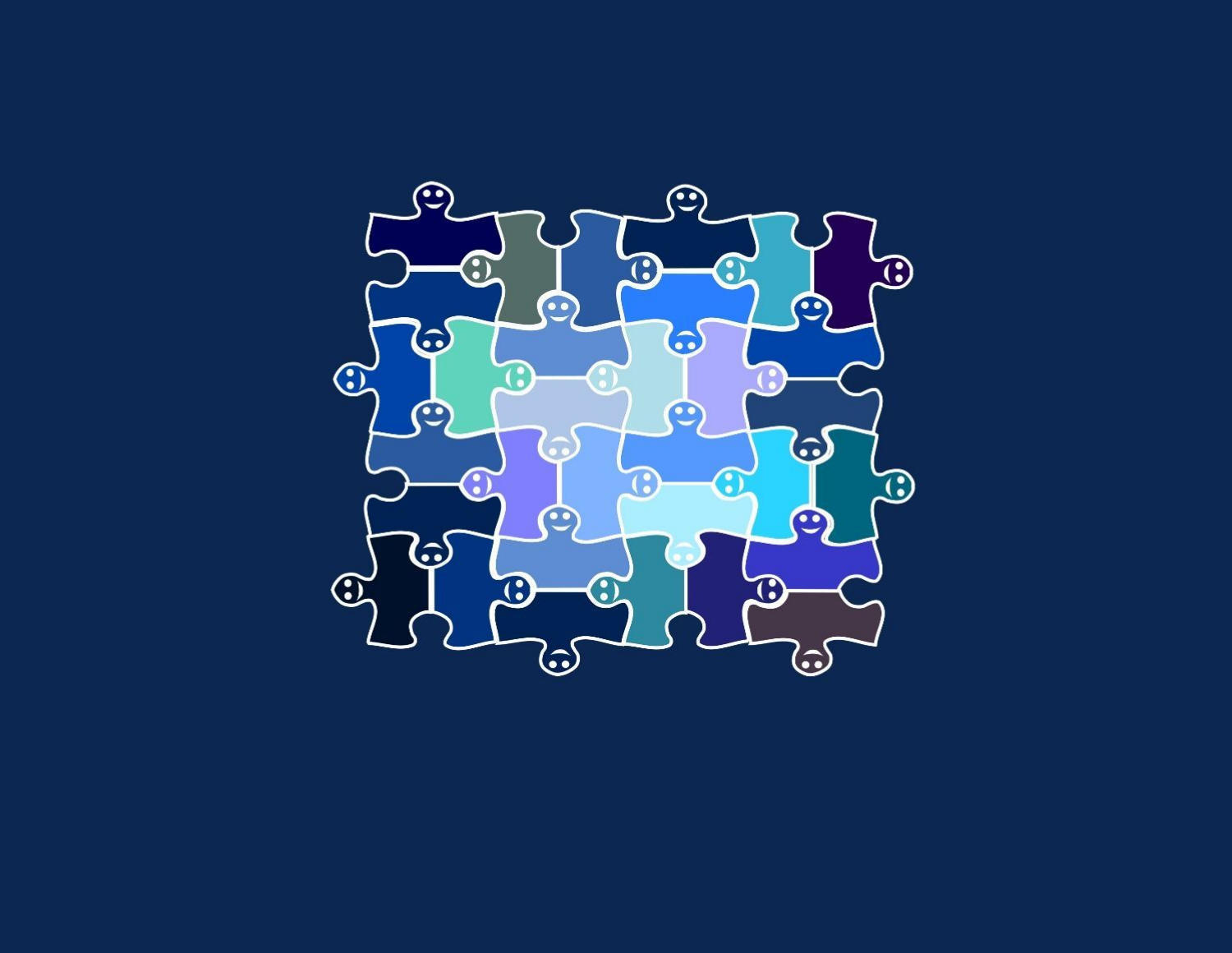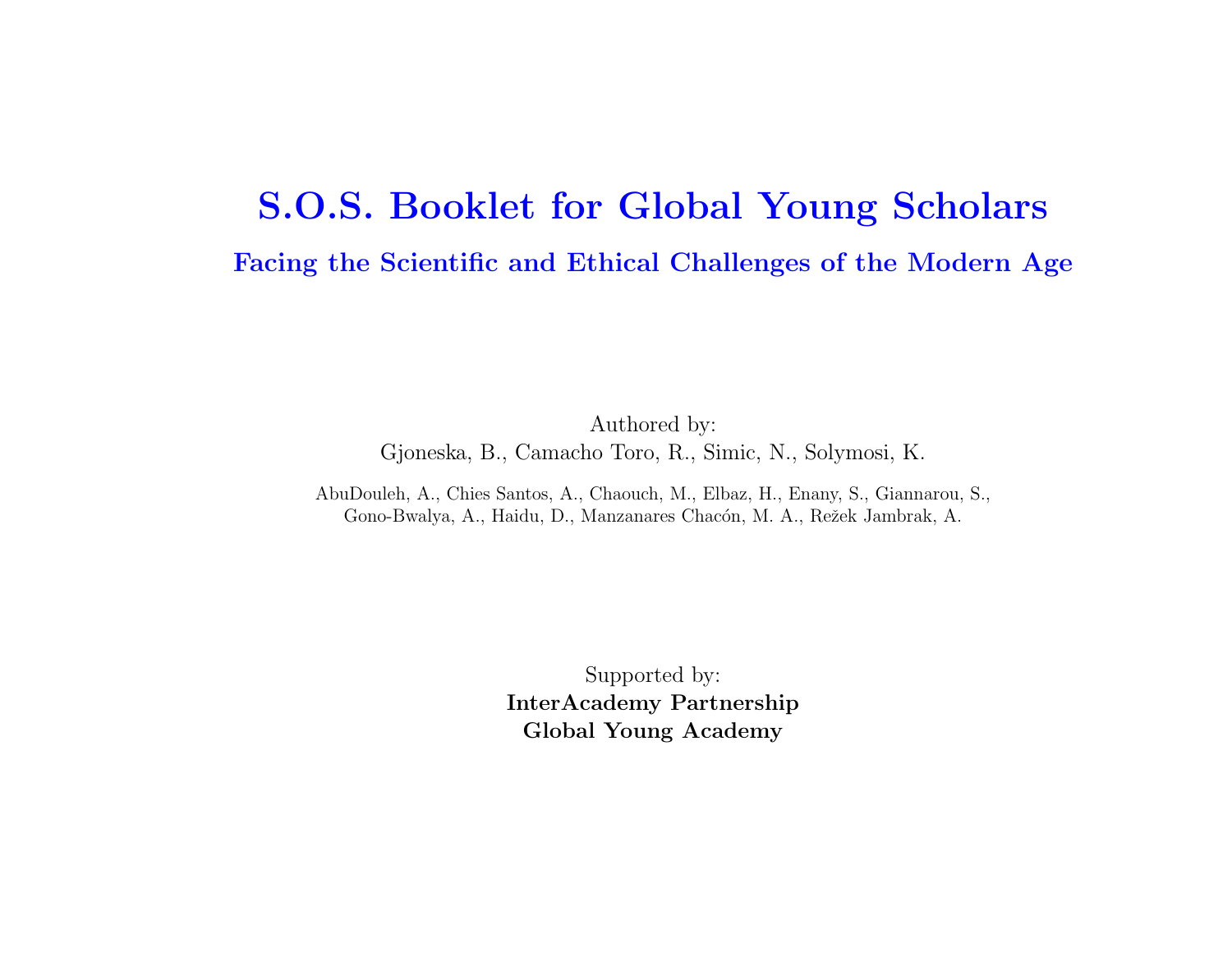# S.O.S. Booklet for Global Young Scholars Facing the Scientific and Ethical Challenges of the Modern Age

Authored by: Gjoneska, B., Camacho Toro, R., Simic, N., Solymosi, K.

AbuDouleh, A., Chies Santos, A., Chaouch, M., Elbaz, H., Enany, S., Giannarou, S., Gono-Bwalya, A., Haidu, D., Manzanares Chacón, M. A., Režek Jambrak, A.

> Supported by: InterAcademy Partnership Global Young Academy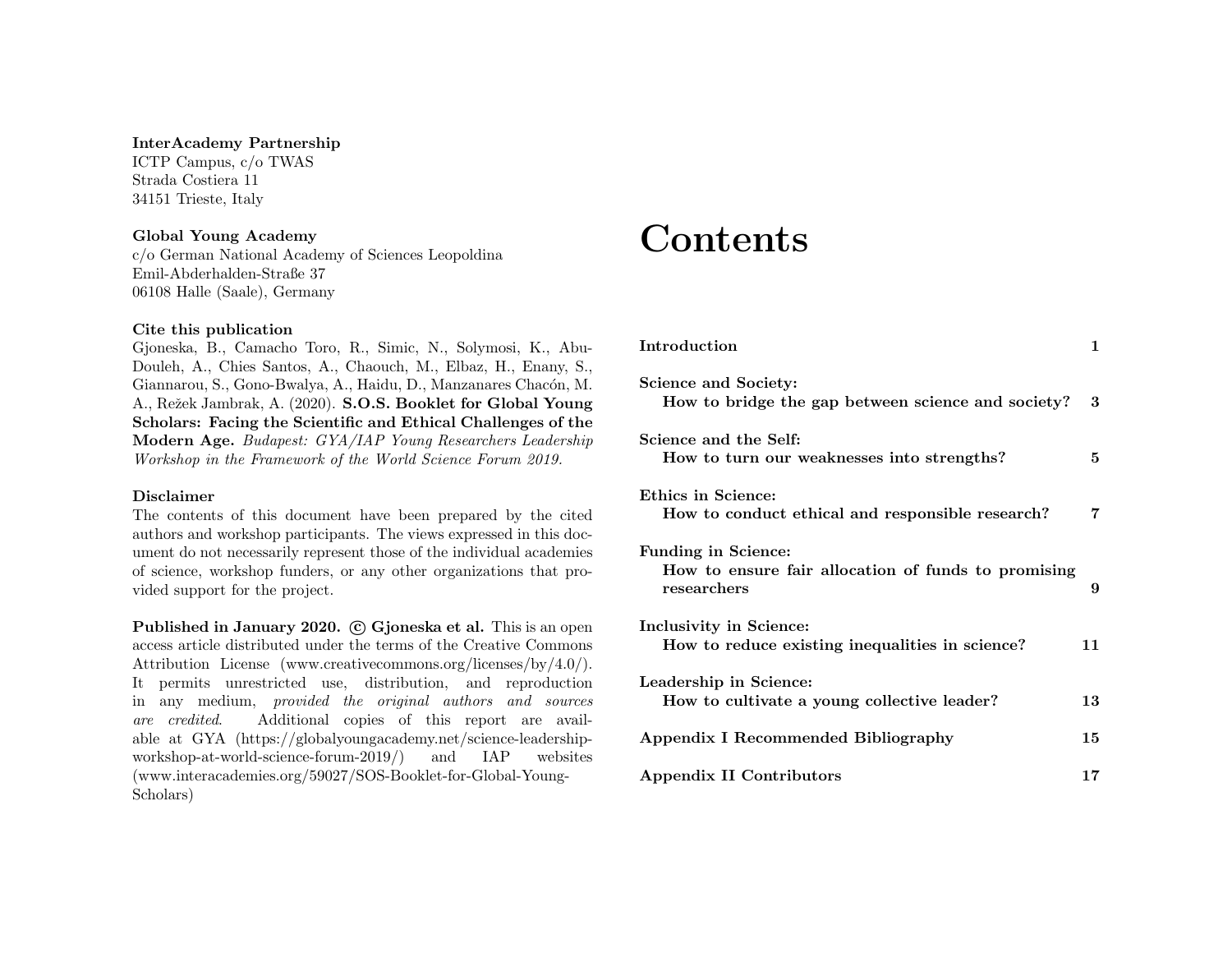#### InterAcademy Partnership

ICTP Campus, c/o TWAS Strada Costiera 11 34151 Trieste, Italy

#### Global Young Academy

c/o German National Academy of Sciences Leopoldina Emil-Abderhalden-Straße 37 06108 Halle (Saale), Germany

#### Cite this publication

Gjoneska, B., Camacho Toro, R., Simic, N., Solymosi, K., Abu-Douleh, A., Chies Santos, A., Chaouch, M., Elbaz, H., Enany, S., Giannarou, S., Gono-Bwalya, A., Haidu, D., Manzanares Chacón, M. A., Režek Jambrak, A. (2020). S.O.S. Booklet for Global Young Scholars: Facing the Scientific and Ethical Challenges of the Modern Age. Budapest: GYA/IAP Young Researchers Leadership Workshop in the Framework of the World Science Forum 2019.

#### Disclaimer

The contents of this document have been prepared by the cited authors and workshop participants. The views expressed in this document do not necessarily represent those of the individual academies of science, workshop funders, or any other organizations that provided support for the project.

Published in January 2020. C Gjoneska et al. This is an open access article distributed under the terms of the Creative Commons Attribution License (www.creativecommons.org/licenses/by/4.0/). It permits unrestricted use, distribution, and reproduction in any medium, provided the original authors and sources are credited. Additional copies of this report are available at GYA (https://globalyoungacademy.net/science-leadershipworkshop-at-world-science-forum-2019/) and IAP websites (www.interacademies.org/59027/SOS-Booklet-for-Global-Young-Scholars)

## Contents

| Introduction                                                                                     | 1        |
|--------------------------------------------------------------------------------------------------|----------|
| Science and Society:<br>How to bridge the gap between science and society?                       | $\bf{3}$ |
| Science and the Self:<br>How to turn our weaknesses into strengths?                              | 5        |
| Ethics in Science:<br>How to conduct ethical and responsible research?                           | 7        |
| <b>Funding in Science:</b><br>How to ensure fair allocation of funds to promising<br>researchers | 9        |
| Inclusivity in Science:<br>How to reduce existing inequalities in science?                       | 11       |
| Leadership in Science:<br>How to cultivate a young collective leader?                            | 13       |
| Appendix I Recommended Bibliography                                                              | 15       |
| Appendix II Contributors                                                                         | 17       |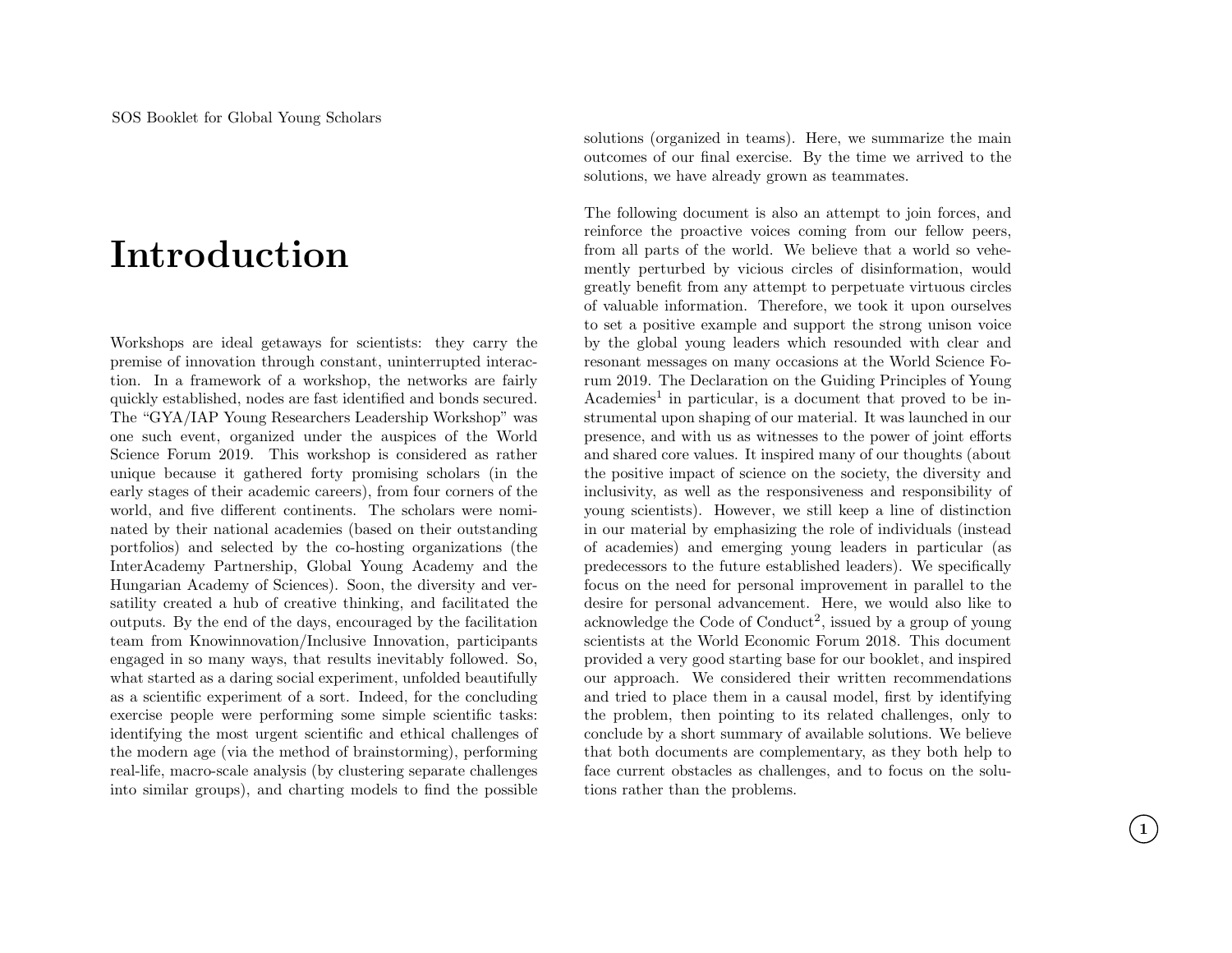## Introduction

Workshops are ideal getaways for scientists: they carry the premise of innovation through constant, uninterrupted interaction. In a framework of a workshop, the networks are fairly quickly established, nodes are fast identified and bonds secured. The "GYA/IAP Young Researchers Leadership Workshop" was one such event, organized under the auspices of the World Science Forum 2019. This workshop is considered as rather unique because it gathered forty promising scholars (in the early stages of their academic careers), from four corners of the world, and five different continents. The scholars were nominated by their national academies (based on their outstanding portfolios) and selected by the co-hosting organizations (the InterAcademy Partnership, Global Young Academy and the Hungarian Academy of Sciences). Soon, the diversity and versatility created a hub of creative thinking, and facilitated the outputs. By the end of the days, encouraged by the facilitation team from Knowinnovation/Inclusive Innovation, participants engaged in so many ways, that results inevitably followed. So, what started as a daring social experiment, unfolded beautifully as a scientific experiment of a sort. Indeed, for the concluding exercise people were performing some simple scientific tasks: identifying the most urgent scientific and ethical challenges of the modern age (via the method of brainstorming), performing real-life, macro-scale analysis (by clustering separate challenges into similar groups), and charting models to find the possible solutions (organized in teams). Here, we summarize the main outcomes of our final exercise. By the time we arrived to the solutions, we have already grown as teammates.

The following document is also an attempt to join forces, and reinforce the proactive voices coming from our fellow peers, from all parts of the world. We believe that a world so vehemently perturbed by vicious circles of disinformation, would greatly benefit from any attempt to perpetuate virtuous circles of valuable information. Therefore, we took it upon ourselves to set a positive example and support the strong unison voice by the global young leaders which resounded with clear and resonant messages on many occasions at the World Science Forum 2019. The Declaration on the Guiding Principles of Young Academies<sup>1</sup> in particular, is a document that proved to be instrumental upon shaping of our material. It was launched in our presence, and with us as witnesses to the power of joint efforts and shared core values. It inspired many of our thoughts (about the positive impact of science on the society, the diversity and inclusivity, as well as the responsiveness and responsibility of young scientists). However, we still keep a line of distinction in our material by emphasizing the role of individuals (instead of academies) and emerging young leaders in particular (as predecessors to the future established leaders). We specifically focus on the need for personal improvement in parallel to the desire for personal advancement. Here, we would also like to acknowledge the Code of  $Conduct^2$ , issued by a group of young scientists at the World Economic Forum 2018. This document provided a very good starting base for our booklet, and inspired our approach. We considered their written recommendations and tried to place them in a causal model, first by identifying the problem, then pointing to its related challenges, only to conclude by a short summary of available solutions. We believe that both documents are complementary, as they both help to face current obstacles as challenges, and to focus on the solutions rather than the problems.

 $\boxed{1}$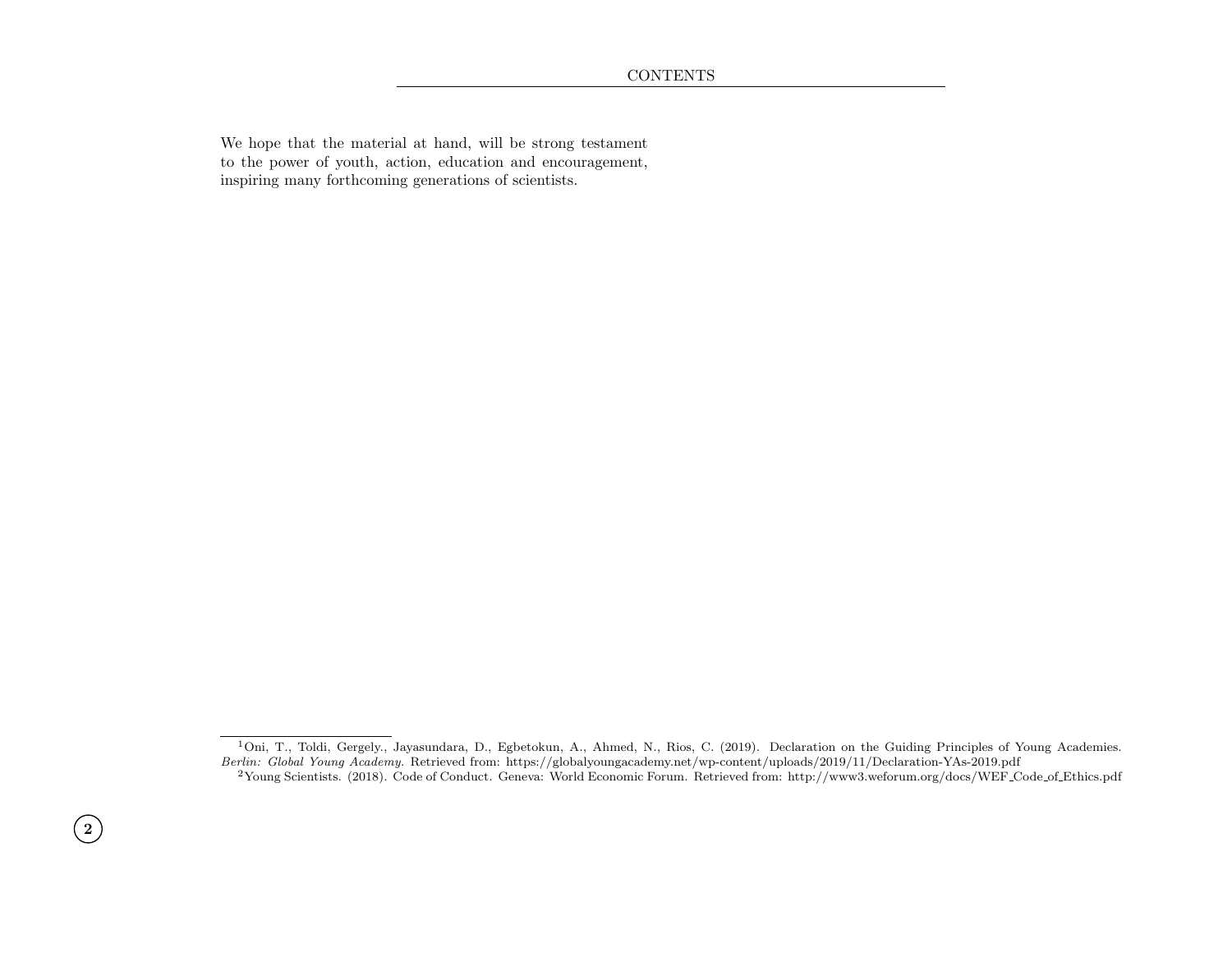We hope that the material at hand, will be strong testament to the power of youth, action, education and encouragement, inspiring many forthcoming generations of scientists.

 $\bigcirc$ 

<sup>&</sup>lt;sup>1</sup>Oni, T., Toldi, Gergely., Jayasundara, D., Egbetokun, A., Ahmed, N., Rios, C. (2019). Declaration on the Guiding Principles of Young Academies. Berlin: Global Young Academy. Retrieved from: https://globalyoungacademy.net/wp-content/uploads/2019/11/Declaration-YAs-2019.pdf <sup>2</sup>Young Scientists. (2018). Code of Conduct. Geneva: World Economic Forum. Retrieved from: http://www3.weforum.org/docs/WEF Code of Ethics.pdf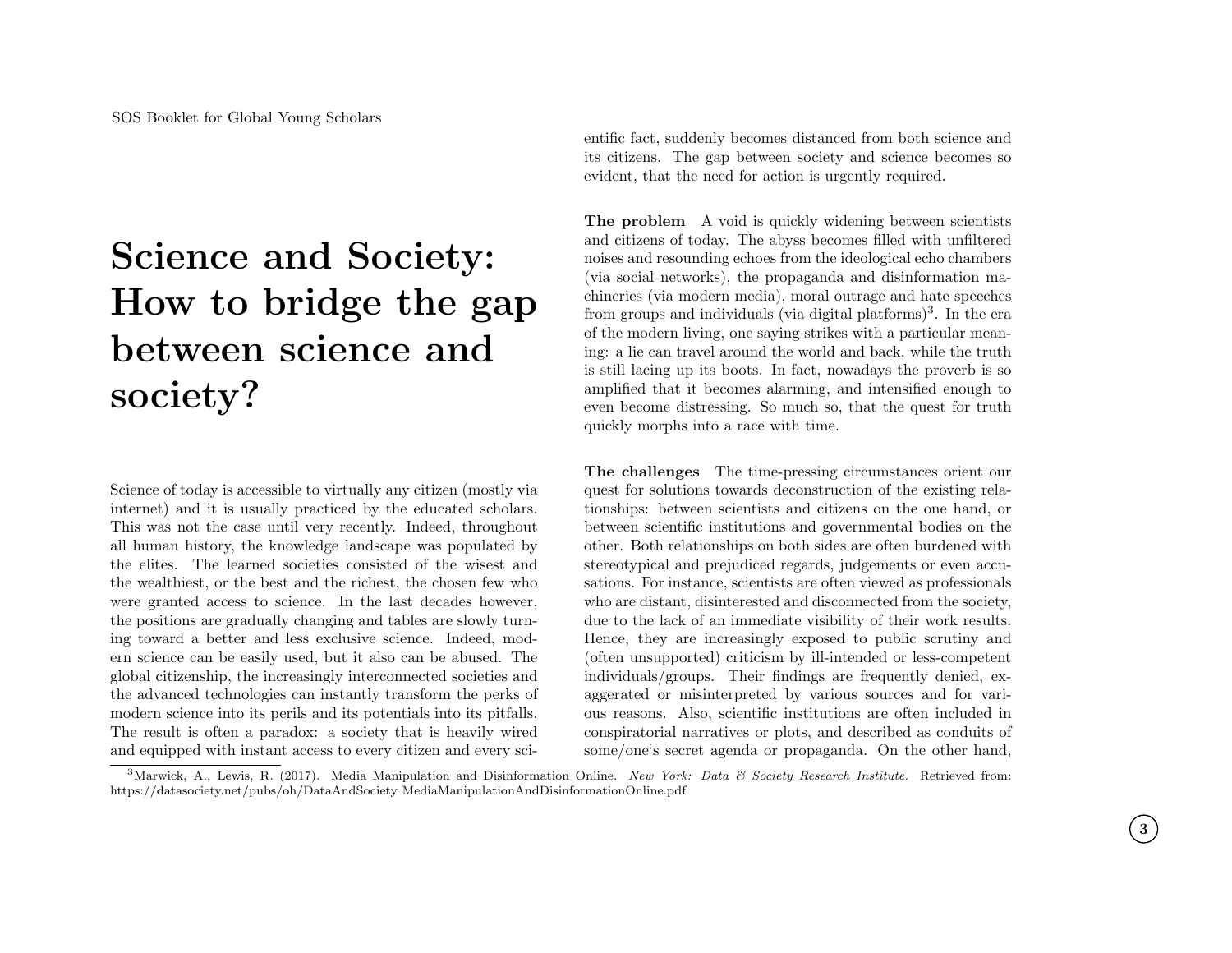# Science and Society: How to bridge the gap between science and society?

Science of today is accessible to virtually any citizen (mostly via internet) and it is usually practiced by the educated scholars. This was not the case until very recently. Indeed, throughout all human history, the knowledge landscape was populated by the elites. The learned societies consisted of the wisest and the wealthiest, or the best and the richest, the chosen few who were granted access to science. In the last decades however, the positions are gradually changing and tables are slowly turning toward a better and less exclusive science. Indeed, modern science can be easily used, but it also can be abused. The global citizenship, the increasingly interconnected societies and the advanced technologies can instantly transform the perks of modern science into its perils and its potentials into its pitfalls. The result is often a paradox: a society that is heavily wired and equipped with instant access to every citizen and every scientific fact, suddenly becomes distanced from both science and its citizens. The gap between society and science becomes so evident, that the need for action is urgently required.

The problem A void is quickly widening between scientists and citizens of today. The abyss becomes filled with unfiltered noises and resounding echoes from the ideological echo chambers (via social networks), the propaganda and disinformation machineries (via modern media), moral outrage and hate speeches from groups and individuals (via digital platforms)<sup>3</sup>. In the era of the modern living, one saying strikes with a particular meaning: a lie can travel around the world and back, while the truth is still lacing up its boots. In fact, nowadays the proverb is so amplified that it becomes alarming, and intensified enough to even become distressing. So much so, that the quest for truth quickly morphs into a race with time.

The challenges The time-pressing circumstances orient our quest for solutions towards deconstruction of the existing relationships: between scientists and citizens on the one hand, or between scientific institutions and governmental bodies on the other. Both relationships on both sides are often burdened with stereotypical and prejudiced regards, judgements or even accusations. For instance, scientists are often viewed as professionals who are distant, disinterested and disconnected from the society, due to the lack of an immediate visibility of their work results. Hence, they are increasingly exposed to public scrutiny and (often unsupported) criticism by ill-intended or less-competent individuals/groups. Their findings are frequently denied, exaggerated or misinterpreted by various sources and for various reasons. Also, scientific institutions are often included in conspiratorial narratives or plots, and described as conduits of some/one's secret agenda or propaganda. On the other hand,

 $\left(3\right)$ 

 $3$ Marwick, A., Lewis, R. (2017). Media Manipulation and Disinformation Online. New York: Data & Society Research Institute. Retrieved from: https://datasociety.net/pubs/oh/DataAndSociety MediaManipulationAndDisinformationOnline.pdf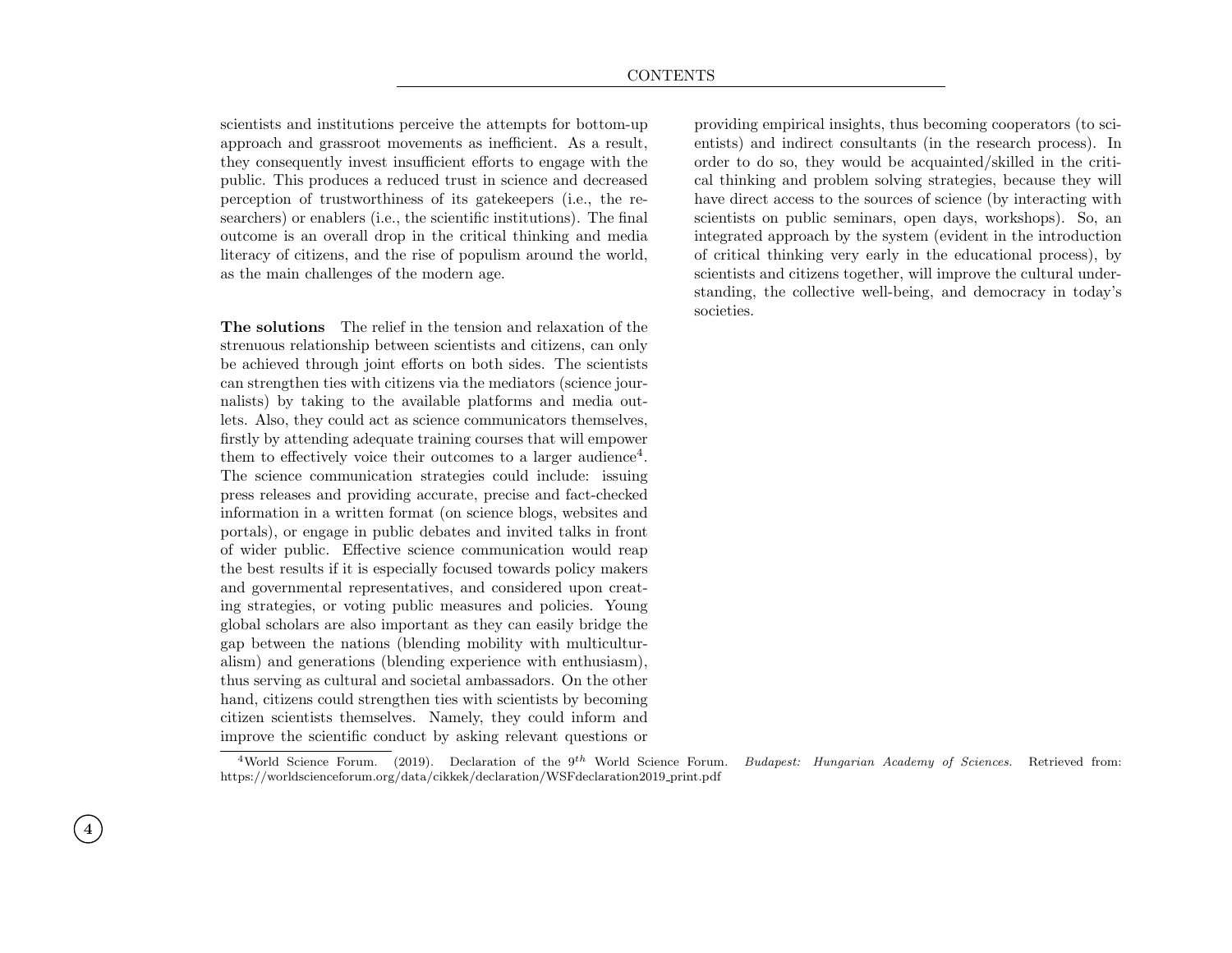scientists and institutions perceive the attempts for bottom-up approach and grassroot movements as inefficient. As a result, they consequently invest insufficient efforts to engage with the public. This produces a reduced trust in science and decreased perception of trustworthiness of its gatekeepers (i.e., the researchers) or enablers (i.e., the scientific institutions). The final outcome is an overall drop in the critical thinking and media literacy of citizens, and the rise of populism around the world, as the main challenges of the modern age.

The solutions The relief in the tension and relaxation of the strenuous relationship between scientists and citizens, can only be achieved through joint efforts on both sides. The scientists can strengthen ties with citizens via the mediators (science journalists) by taking to the available platforms and media outlets. Also, they could act as science communicators themselves, firstly by attending adequate training courses that will empower them to effectively voice their outcomes to a larger audience<sup>4</sup>. The science communication strategies could include: issuing press releases and providing accurate, precise and fact-checked information in a written format (on science blogs, websites and portals), or engage in public debates and invited talks in front of wider public. Effective science communication would reap the best results if it is especially focused towards policy makers and governmental representatives, and considered upon creating strategies, or voting public measures and policies. Young global scholars are also important as they can easily bridge the gap between the nations (blending mobility with multiculturalism) and generations (blending experience with enthusiasm), thus serving as cultural and societal ambassadors. On the other hand, citizens could strengthen ties with scientists by becoming citizen scientists themselves. Namely, they could inform and improve the scientific conduct by asking relevant questions or

4

providing empirical insights, thus becoming cooperators (to scientists) and indirect consultants (in the research process). In order to do so, they would be acquainted/skilled in the critical thinking and problem solving strategies, because they will have direct access to the sources of science (by interacting with scientists on public seminars, open days, workshops). So, an integrated approach by the system (evident in the introduction of critical thinking very early in the educational process), by scientists and citizens together, will improve the cultural understanding, the collective well-being, and democracy in today's societies.

<sup>&</sup>lt;sup>4</sup>World Science Forum. (2019). Declaration of the 9<sup>th</sup> World Science Forum. Budapest: Hungarian Academy of Sciences. Retrieved from: https://worldscienceforum.org/data/cikkek/declaration/WSFdeclaration2019 print.pdf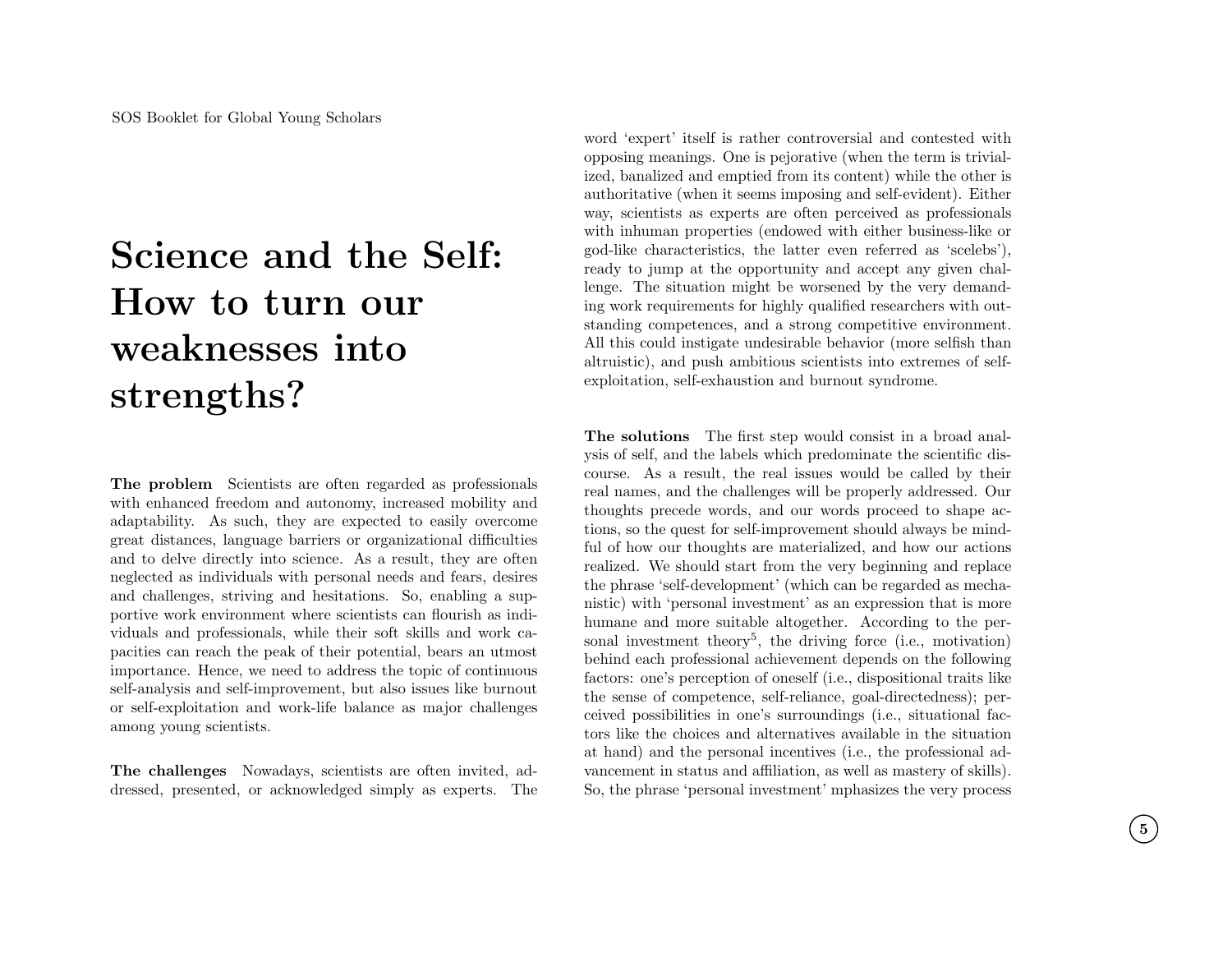# Science and the Self: How to turn our weaknesses into strengths?

The problem Scientists are often regarded as professionals with enhanced freedom and autonomy, increased mobility and adaptability. As such, they are expected to easily overcome great distances, language barriers or organizational difficulties and to delve directly into science. As a result, they are often neglected as individuals with personal needs and fears, desires and challenges, striving and hesitations. So, enabling a supportive work environment where scientists can flourish as individuals and professionals, while their soft skills and work capacities can reach the peak of their potential, bears an utmost importance. Hence, we need to address the topic of continuous self-analysis and self-improvement, but also issues like burnout or self-exploitation and work-life balance as major challenges among young scientists.

The challenges Nowadays, scientists are often invited, addressed, presented, or acknowledged simply as experts. The word 'expert' itself is rather controversial and contested with opposing meanings. One is pejorative (when the term is trivialized, banalized and emptied from its content) while the other is authoritative (when it seems imposing and self-evident). Either way, scientists as experts are often perceived as professionals with inhuman properties (endowed with either business-like or god-like characteristics, the latter even referred as 'scelebs'), ready to jump at the opportunity and accept any given challenge. The situation might be worsened by the very demanding work requirements for highly qualified researchers with outstanding competences, and a strong competitive environment. All this could instigate undesirable behavior (more selfish than altruistic), and push ambitious scientists into extremes of selfexploitation, self-exhaustion and burnout syndrome.

The solutions The first step would consist in a broad analysis of self, and the labels which predominate the scientific discourse. As a result, the real issues would be called by their real names, and the challenges will be properly addressed. Our thoughts precede words, and our words proceed to shape actions, so the quest for self-improvement should always be mindful of how our thoughts are materialized, and how our actions realized. We should start from the very beginning and replace the phrase 'self-development' (which can be regarded as mechanistic) with 'personal investment' as an expression that is more humane and more suitable altogether. According to the personal investment theory<sup>5</sup>, the driving force (i.e., motivation) behind each professional achievement depends on the following factors: one's perception of oneself (i.e., dispositional traits like the sense of competence, self-reliance, goal-directedness); perceived possibilities in one's surroundings (i.e., situational factors like the choices and alternatives available in the situation at hand) and the personal incentives (i.e., the professional advancement in status and affiliation, as well as mastery of skills). So, the phrase 'personal investment' mphasizes the very process

 $(5)$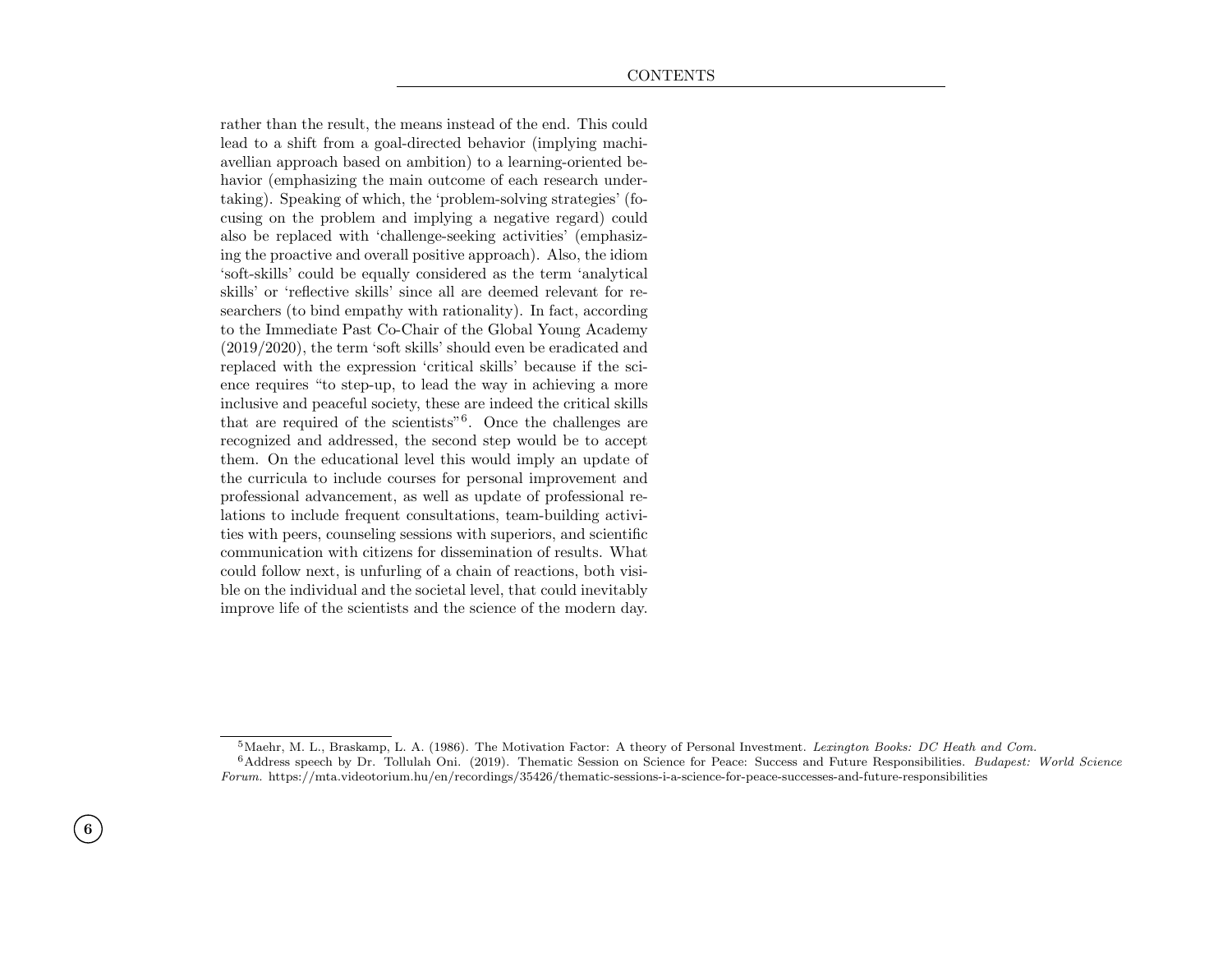rather than the result, the means instead of the end. This could lead to a shift from a goal-directed behavior (implying machiavellian approach based on ambition) to a learning-oriented behavior (emphasizing the main outcome of each research undertaking). Speaking of which, the 'problem-solving strategies' (focusing on the problem and implying a negative regard) could also be replaced with 'challenge-seeking activities' (emphasizing the proactive and overall positive approach). Also, the idiom 'soft-skills' could be equally considered as the term 'analytical skills' or 'reflective skills' since all are deemed relevant for researchers (to bind empathy with rationality). In fact, according to the Immediate Past Co-Chair of the Global Young Academy (2019/2020), the term 'soft skills' should even be eradicated and replaced with the expression 'critical skills' because if the science requires "to step-up, to lead the way in achieving a more inclusive and peaceful society, these are indeed the critical skills that are required of the scientists"<sup>6</sup> . Once the challenges are recognized and addressed, the second step would be to accept them. On the educational level this would imply an update of the curricula to include courses for personal improvement and professional advancement, as well as update of professional relations to include frequent consultations, team-building activities with peers, counseling sessions with superiors, and scientific communication with citizens for dissemination of results. What could follow next, is unfurling of a chain of reactions, both visible on the individual and the societal level, that could inevitably improve life of the scientists and the science of the modern day.

 $\left( 6\right)$ 

 $5$ Maehr, M. L., Braskamp, L. A. (1986). The Motivation Factor: A theory of Personal Investment. Lexington Books: DC Heath and Com.

 $6$ Address speech by Dr. Tollulah Oni. (2019). Thematic Session on Science for Peace: Success and Future Responsibilities. Budapest: World Science Forum. https://mta.videotorium.hu/en/recordings/35426/thematic-sessions-i-a-science-for-peace-successes-and-future-responsibilities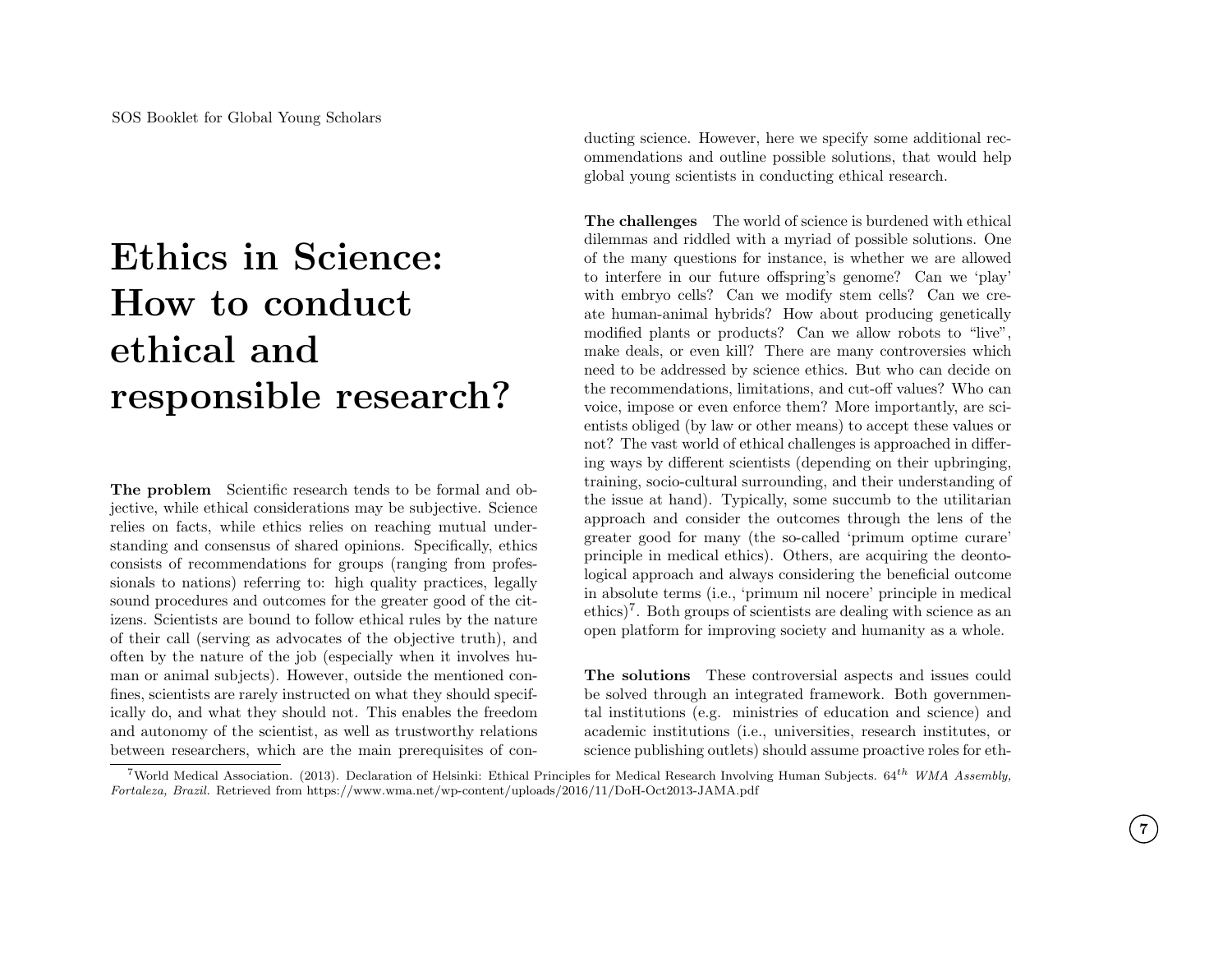# Ethics in Science: How to conduct ethical and responsible research?

The problem Scientific research tends to be formal and objective, while ethical considerations may be subjective. Science relies on facts, while ethics relies on reaching mutual understanding and consensus of shared opinions. Specifically, ethics consists of recommendations for groups (ranging from professionals to nations) referring to: high quality practices, legally sound procedures and outcomes for the greater good of the citizens. Scientists are bound to follow ethical rules by the nature of their call (serving as advocates of the objective truth), and often by the nature of the job (especially when it involves human or animal subjects). However, outside the mentioned confines, scientists are rarely instructed on what they should specifically do, and what they should not. This enables the freedom and autonomy of the scientist, as well as trustworthy relations between researchers, which are the main prerequisites of conducting science. However, here we specify some additional recommendations and outline possible solutions, that would help global young scientists in conducting ethical research.

The challenges The world of science is burdened with ethical dilemmas and riddled with a myriad of possible solutions. One of the many questions for instance, is whether we are allowed to interfere in our future offspring's genome? Can we 'play' with embryo cells? Can we modify stem cells? Can we create human-animal hybrids? How about producing genetically modified plants or products? Can we allow robots to "live", make deals, or even kill? There are many controversies which need to be addressed by science ethics. But who can decide on the recommendations, limitations, and cut-off values? Who can voice, impose or even enforce them? More importantly, are scientists obliged (by law or other means) to accept these values or not? The vast world of ethical challenges is approached in differing ways by different scientists (depending on their upbringing, training, socio-cultural surrounding, and their understanding of the issue at hand). Typically, some succumb to the utilitarian approach and consider the outcomes through the lens of the greater good for many (the so-called 'primum optime curare' principle in medical ethics). Others, are acquiring the deontological approach and always considering the beneficial outcome in absolute terms (i.e., 'primum nil nocere' principle in medical ethics)<sup>7</sup>. Both groups of scientists are dealing with science as an open platform for improving society and humanity as a whole.

The solutions These controversial aspects and issues could be solved through an integrated framework. Both governmental institutions (e.g. ministries of education and science) and academic institutions (i.e., universities, research institutes, or science publishing outlets) should assume proactive roles for eth-

 $(7)$ 

<sup>&</sup>lt;sup>7</sup>World Medical Association. (2013). Declaration of Helsinki: Ethical Principles for Medical Research Involving Human Subjects.  $64^{th}$  WMA Assembly, Fortaleza, Brazil. Retrieved from https://www.wma.net/wp-content/uploads/2016/11/DoH-Oct2013-JAMA.pdf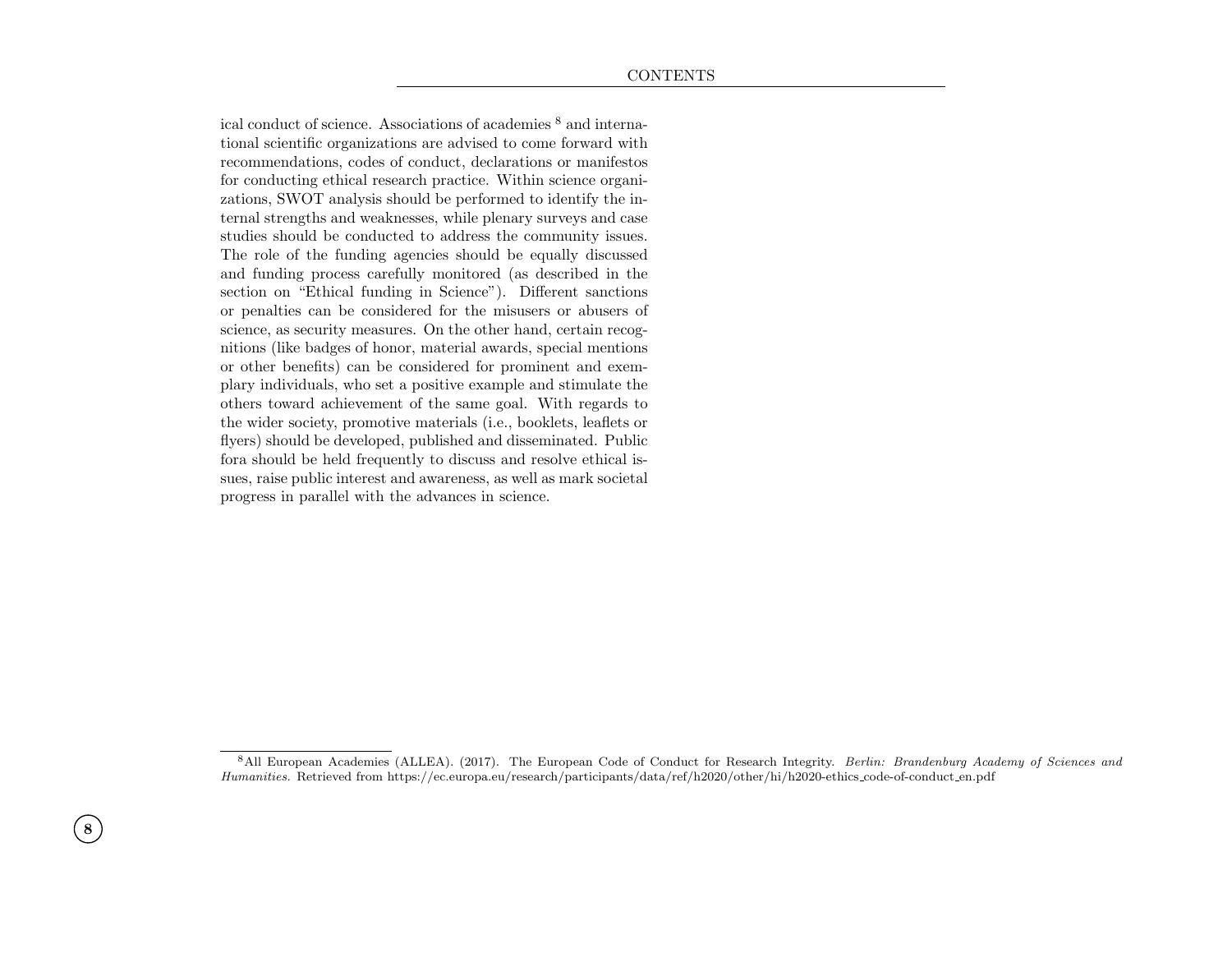ical conduct of science. Associations of academies <sup>8</sup> and international scientific organizations are advised to come forward with recommendations, codes of conduct, declarations or manifestos for conducting ethical research practice. Within science organizations, SWOT analysis should be performed to identify the internal strengths and weaknesses, while plenary surveys and case studies should be conducted to address the community issues. The role of the funding agencies should be equally discussed and funding process carefully monitored (as described in the section on "Ethical funding in Science"). Different sanctions or penalties can be considered for the misusers or abusers of science, as security measures. On the other hand, certain recognitions (like badges of honor, material awards, special mentions or other benefits) can be considered for prominent and exemplary individuals, who set a positive example and stimulate the others toward achievement of the same goal. With regards to the wider society, promotive materials (i.e., booklets, leaflets or flyers) should be developed, published and disseminated. Public fora should be held frequently to discuss and resolve ethical issues, raise public interest and awareness, as well as mark societal progress in parallel with the advances in science.

 $\left(8\right)$ 

<sup>8</sup>All European Academies (ALLEA). (2017). The European Code of Conduct for Research Integrity. Berlin: Brandenburg Academy of Sciences and Humanities. Retrieved from https://ec.europa.eu/research/participants/data/ref/h2020/other/hi/h2020-ethics code-of-conduct en.pdf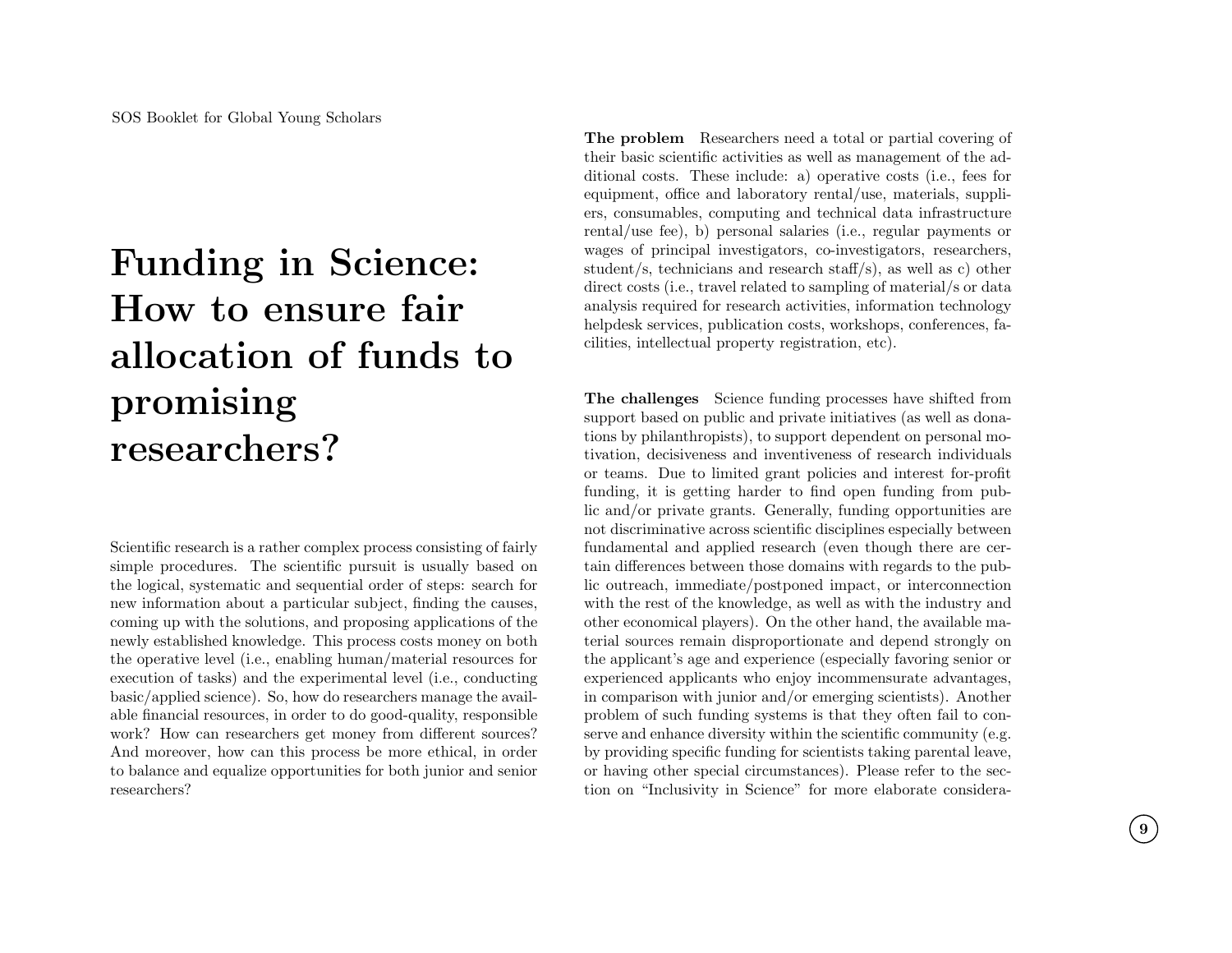# Funding in Science: How to ensure fair allocation of funds to promising researchers?

Scientific research is a rather complex process consisting of fairly simple procedures. The scientific pursuit is usually based on the logical, systematic and sequential order of steps: search for new information about a particular subject, finding the causes, coming up with the solutions, and proposing applications of the newly established knowledge. This process costs money on both the operative level (i.e., enabling human/material resources for execution of tasks) and the experimental level (i.e., conducting basic/applied science). So, how do researchers manage the available financial resources, in order to do good-quality, responsible work? How can researchers get money from different sources? And moreover, how can this process be more ethical, in order to balance and equalize opportunities for both junior and senior researchers?

The problem Researchers need a total or partial covering of their basic scientific activities as well as management of the additional costs. These include: a) operative costs (i.e., fees for equipment, office and laboratory rental/use, materials, suppliers, consumables, computing and technical data infrastructure rental/use fee), b) personal salaries (i.e., regular payments or wages of principal investigators, co-investigators, researchers, student/s, technicians and research staff/s), as well as c) other direct costs (i.e., travel related to sampling of material/s or data analysis required for research activities, information technology helpdesk services, publication costs, workshops, conferences, facilities, intellectual property registration, etc).

The challenges Science funding processes have shifted from support based on public and private initiatives (as well as donations by philanthropists), to support dependent on personal motivation, decisiveness and inventiveness of research individuals or teams. Due to limited grant policies and interest for-profit funding, it is getting harder to find open funding from public and/or private grants. Generally, funding opportunities are not discriminative across scientific disciplines especially between fundamental and applied research (even though there are certain differences between those domains with regards to the public outreach, immediate/postponed impact, or interconnection with the rest of the knowledge, as well as with the industry and other economical players). On the other hand, the available material sources remain disproportionate and depend strongly on the applicant's age and experience (especially favoring senior or experienced applicants who enjoy incommensurate advantages, in comparison with junior and/or emerging scientists). Another problem of such funding systems is that they often fail to conserve and enhance diversity within the scientific community (e.g. by providing specific funding for scientists taking parental leave, or having other special circumstances). Please refer to the section on "Inclusivity in Science" for more elaborate considera-

 $(9)$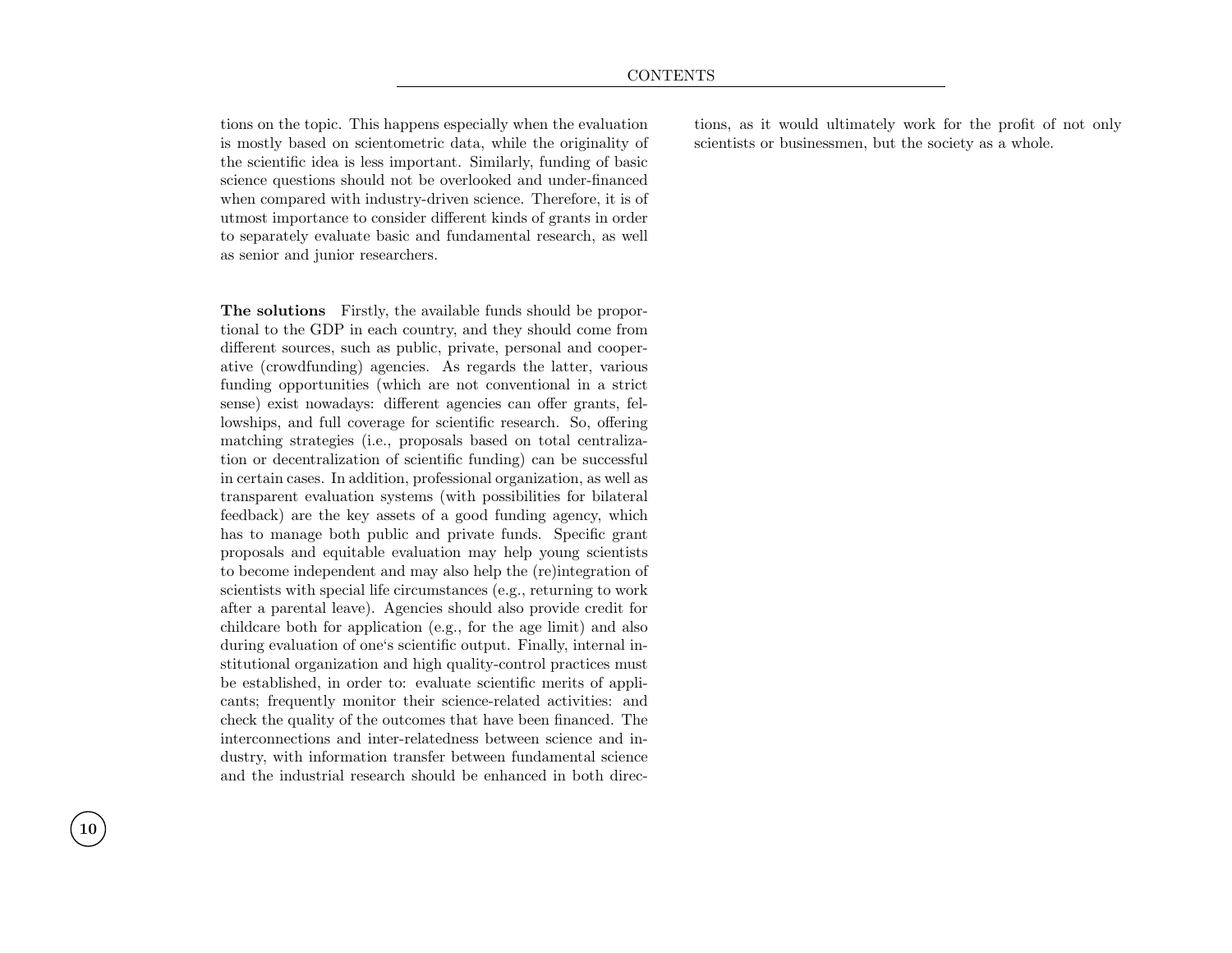tions on the topic. This happens especially when the evaluation is mostly based on scientometric data, while the originality of the scientific idea is less important. Similarly, funding of basic science questions should not be overlooked and under-financed when compared with industry-driven science. Therefore, it is of utmost importance to consider different kinds of grants in order to separately evaluate basic and fundamental research, as well as senior and junior researchers.

The solutions Firstly, the available funds should be proportional to the GDP in each country, and they should come from different sources, such as public, private, personal and cooperative (crowdfunding) agencies. As regards the latter, various funding opportunities (which are not conventional in a strict sense) exist nowadays: different agencies can offer grants, fellowships, and full coverage for scientific research. So, offering matching strategies (i.e., proposals based on total centralization or decentralization of scientific funding) can be successful in certain cases. In addition, professional organization, as well as transparent evaluation systems (with possibilities for bilateral feedback) are the key assets of a good funding agency, which has to manage both public and private funds. Specific grant proposals and equitable evaluation may help young scientists to become independent and may also help the (re)integration of scientists with special life circumstances (e.g., returning to work after a parental leave). Agencies should also provide credit for childcare both for application (e.g., for the age limit) and also during evaluation of one's scientific output. Finally, internal institutional organization and high quality-control practices must be established, in order to: evaluate scientific merits of applicants; frequently monitor their science-related activities: and check the quality of the outcomes that have been financed. The interconnections and inter-relatedness between science and industry, with information transfer between fundamental science and the industrial research should be enhanced in both direc-

10

tions, as it would ultimately work for the profit of not only scientists or businessmen, but the society as a whole.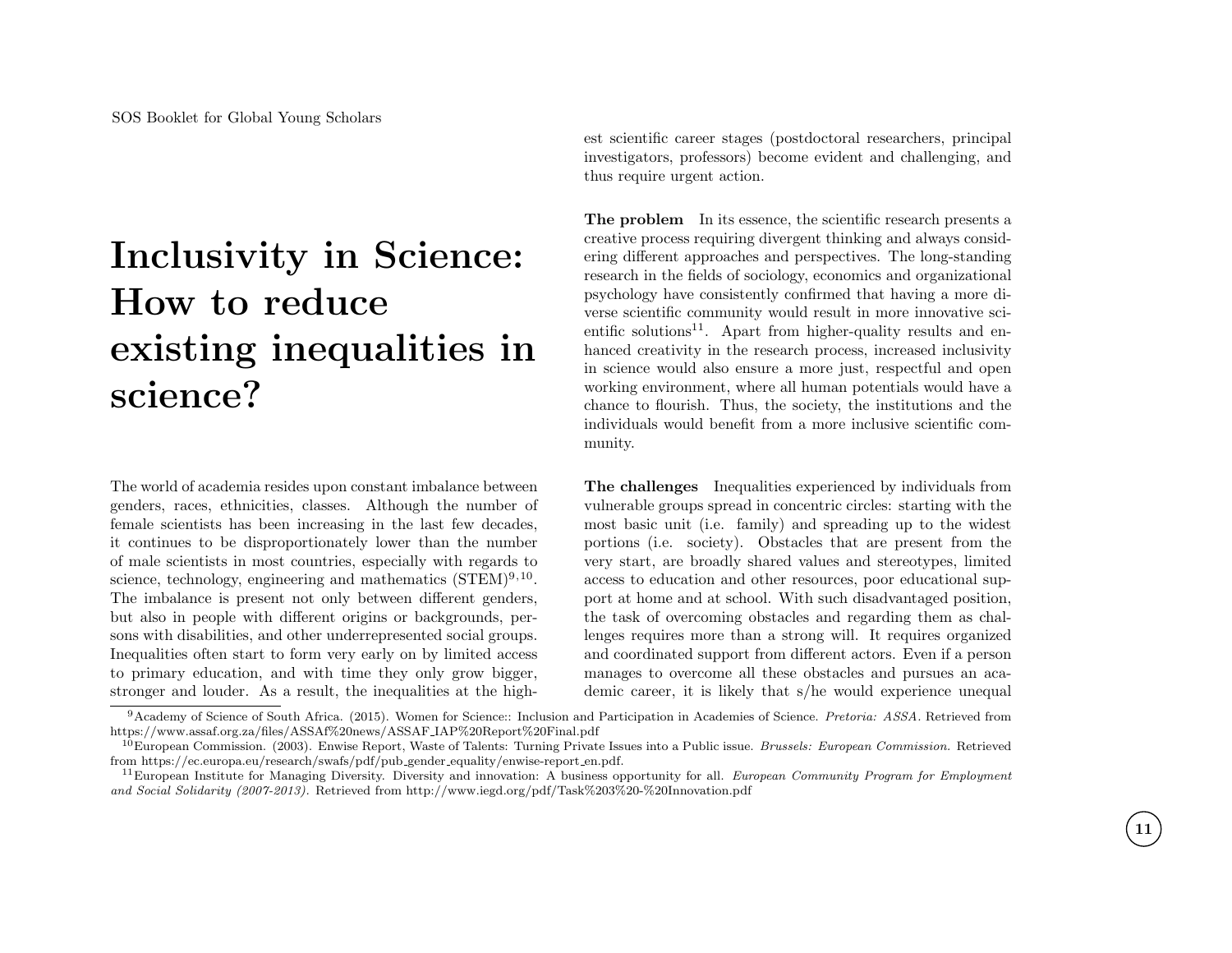# Inclusivity in Science: How to reduce existing inequalities in science?

The world of academia resides upon constant imbalance between genders, races, ethnicities, classes. Although the number of female scientists has been increasing in the last few decades, it continues to be disproportionately lower than the number of male scientists in most countries, especially with regards to science, technology, engineering and mathematics  $(STEM)^{9,10}$ . The imbalance is present not only between different genders, but also in people with different origins or backgrounds, persons with disabilities, and other underrepresented social groups. Inequalities often start to form very early on by limited access to primary education, and with time they only grow bigger, stronger and louder. As a result, the inequalities at the highest scientific career stages (postdoctoral researchers, principal investigators, professors) become evident and challenging, and thus require urgent action.

The problem In its essence, the scientific research presents a creative process requiring divergent thinking and always considering different approaches and perspectives. The long-standing research in the fields of sociology, economics and organizational psychology have consistently confirmed that having a more diverse scientific community would result in more innovative scientific solutions<sup>11</sup>. Apart from higher-quality results and enhanced creativity in the research process, increased inclusivity in science would also ensure a more just, respectful and open working environment, where all human potentials would have a chance to flourish. Thus, the society, the institutions and the individuals would benefit from a more inclusive scientific community.

The challenges Inequalities experienced by individuals from vulnerable groups spread in concentric circles: starting with the most basic unit (i.e. family) and spreading up to the widest portions (i.e. society). Obstacles that are present from the very start, are broadly shared values and stereotypes, limited access to education and other resources, poor educational support at home and at school. With such disadvantaged position, the task of overcoming obstacles and regarding them as challenges requires more than a strong will. It requires organized and coordinated support from different actors. Even if a person manages to overcome all these obstacles and pursues an academic career, it is likely that s/he would experience unequal

<sup>&</sup>lt;sup>9</sup>Academy of Science of South Africa. (2015). Women for Science:: Inclusion and Participation in Academies of Science. Pretoria: ASSA. Retrieved from https://www.assaf.org.za/files/ASSAf%20news/ASSAF IAP%20Report%20Final.pdf

 $10$ European Commission. (2003). Enwise Report, Waste of Talents: Turning Private Issues into a Public issue. *Brussels: European Commission*. Retrieved from https://ec.europa.eu/research/swafs/pdf/pub gender equality/enwise-report en.pdf.

 $11$ European Institute for Managing Diversity. Diversity and innovation: A business opportunity for all. *European Community Program for Employment* and Social Solidarity (2007-2013). Retrieved from http://www.iegd.org/pdf/Task%203%20-%20Innovation.pdf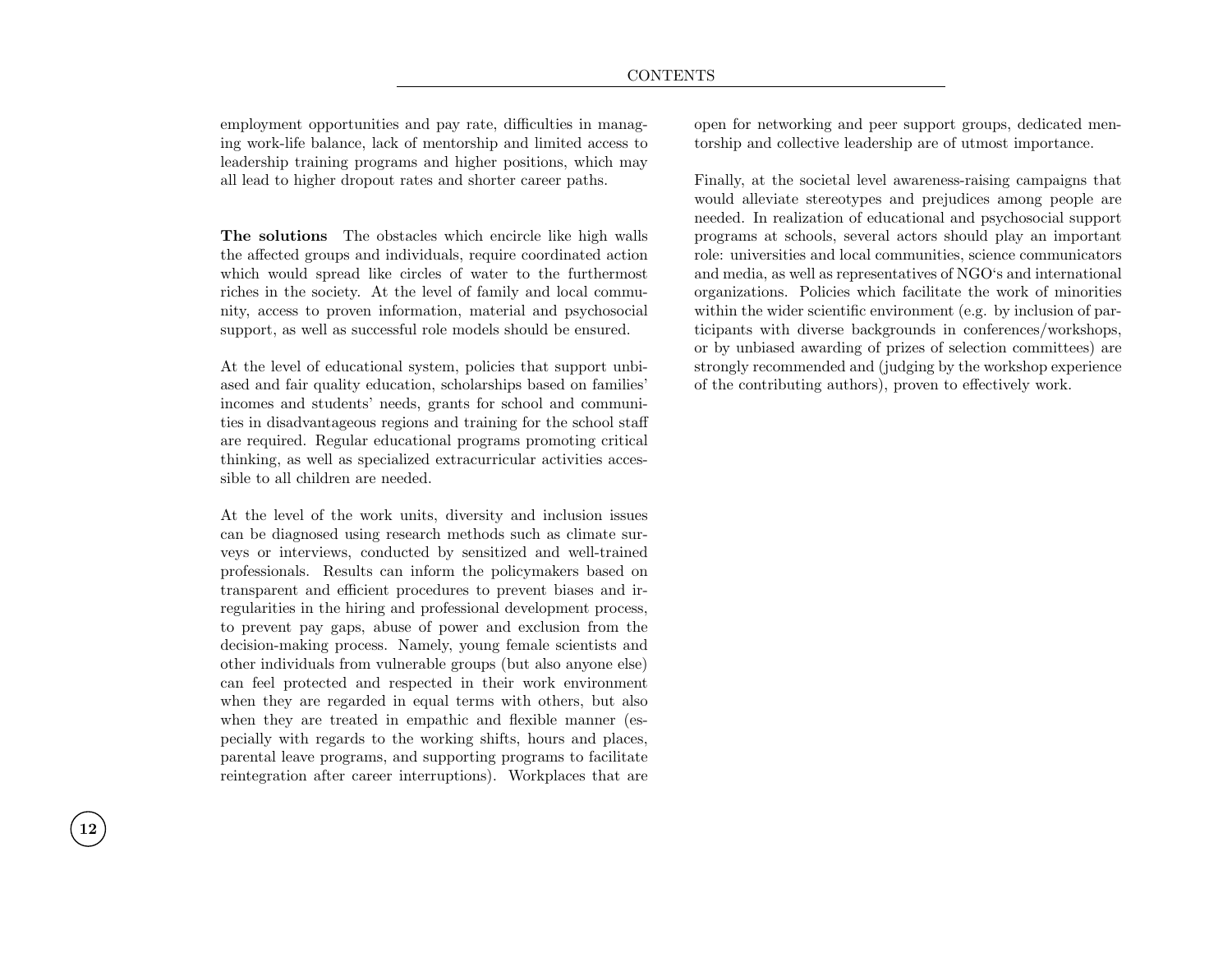employment opportunities and pay rate, difficulties in managing work-life balance, lack of mentorship and limited access to leadership training programs and higher positions, which may all lead to higher dropout rates and shorter career paths.

The solutions The obstacles which encircle like high walls the affected groups and individuals, require coordinated action which would spread like circles of water to the furthermost riches in the society. At the level of family and local community, access to proven information, material and psychosocial support, as well as successful role models should be ensured.

At the level of educational system, policies that support unbiased and fair quality education, scholarships based on families' incomes and students' needs, grants for school and communities in disadvantageous regions and training for the school staff are required. Regular educational programs promoting critical thinking, as well as specialized extracurricular activities accessible to all children are needed.

At the level of the work units, diversity and inclusion issues can be diagnosed using research methods such as climate surveys or interviews, conducted by sensitized and well-trained professionals. Results can inform the policymakers based on transparent and efficient procedures to prevent biases and irregularities in the hiring and professional development process, to prevent pay gaps, abuse of power and exclusion from the decision-making process. Namely, young female scientists and other individuals from vulnerable groups (but also anyone else) can feel protected and respected in their work environment when they are regarded in equal terms with others, but also when they are treated in empathic and flexible manner (especially with regards to the working shifts, hours and places, parental leave programs, and supporting programs to facilitate reintegration after career interruptions). Workplaces that are

12

open for networking and peer support groups, dedicated mentorship and collective leadership are of utmost importance.

Finally, at the societal level awareness-raising campaigns that would alleviate stereotypes and prejudices among people are needed. In realization of educational and psychosocial support programs at schools, several actors should play an important role: universities and local communities, science communicators and media, as well as representatives of NGO's and international organizations. Policies which facilitate the work of minorities within the wider scientific environment (e.g. by inclusion of participants with diverse backgrounds in conferences/workshops, or by unbiased awarding of prizes of selection committees) are strongly recommended and (judging by the workshop experience of the contributing authors), proven to effectively work.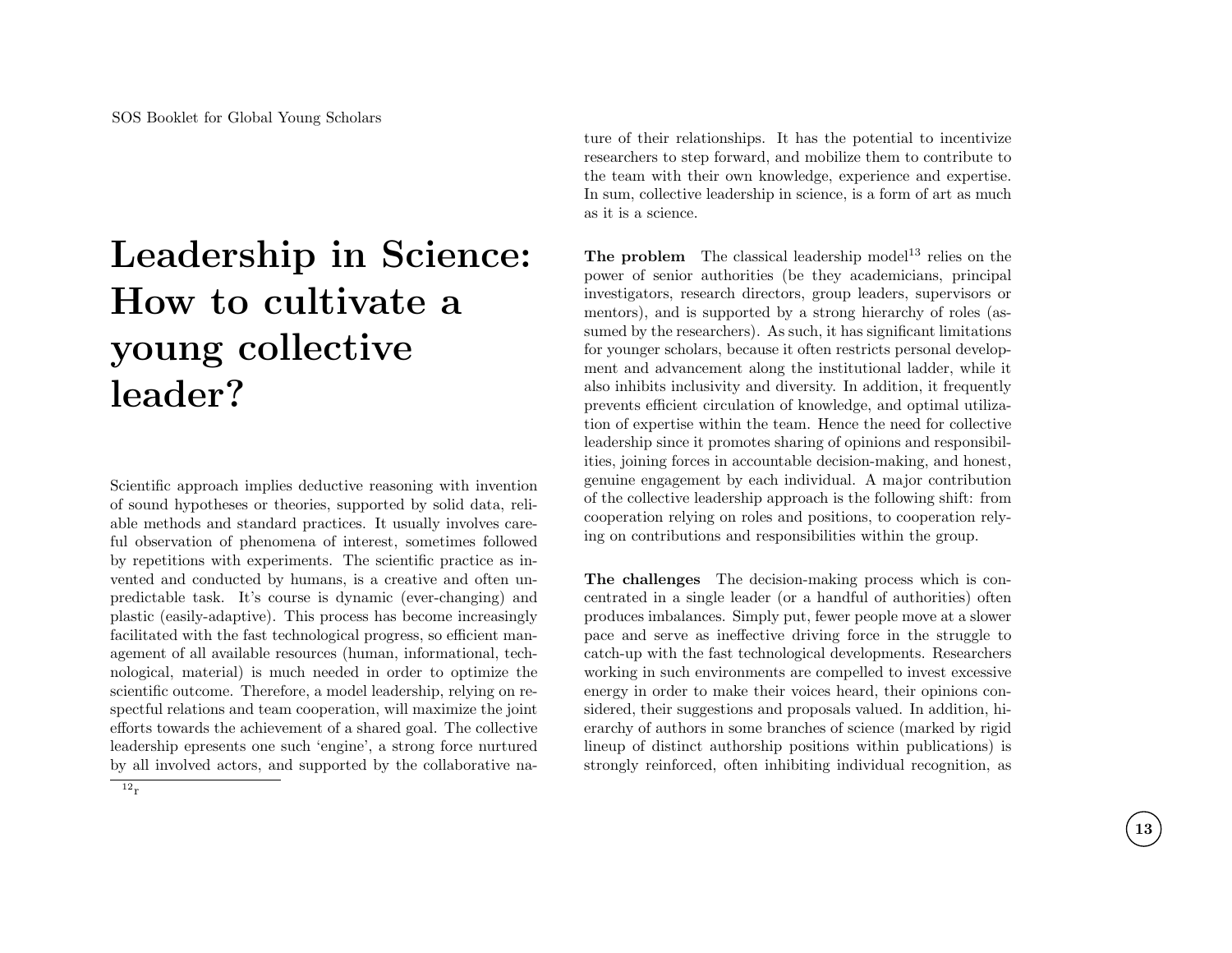# Leadership in Science: How to cultivate a young collective leader?

Scientific approach implies deductive reasoning with invention of sound hypotheses or theories, supported by solid data, reliable methods and standard practices. It usually involves careful observation of phenomena of interest, sometimes followed by repetitions with experiments. The scientific practice as invented and conducted by humans, is a creative and often unpredictable task. It's course is dynamic (ever-changing) and plastic (easily-adaptive). This process has become increasingly facilitated with the fast technological progress, so efficient management of all available resources (human, informational, technological, material) is much needed in order to optimize the scientific outcome. Therefore, a model leadership, relying on respectful relations and team cooperation, will maximize the joint efforts towards the achievement of a shared goal. The collective leadership epresents one such 'engine', a strong force nurtured by all involved actors, and supported by the collaborative nature of their relationships. It has the potential to incentivize researchers to step forward, and mobilize them to contribute to the team with their own knowledge, experience and expertise. In sum, collective leadership in science, is a form of art as much as it is a science.

**The problem** The classical leadership model<sup>13</sup> relies on the power of senior authorities (be they academicians, principal investigators, research directors, group leaders, supervisors or mentors), and is supported by a strong hierarchy of roles (assumed by the researchers). As such, it has significant limitations for younger scholars, because it often restricts personal development and advancement along the institutional ladder, while it also inhibits inclusivity and diversity. In addition, it frequently prevents efficient circulation of knowledge, and optimal utilization of expertise within the team. Hence the need for collective leadership since it promotes sharing of opinions and responsibilities, joining forces in accountable decision-making, and honest, genuine engagement by each individual. A major contribution of the collective leadership approach is the following shift: from cooperation relying on roles and positions, to cooperation relying on contributions and responsibilities within the group.

The challenges The decision-making process which is concentrated in a single leader (or a handful of authorities) often produces imbalances. Simply put, fewer people move at a slower pace and serve as ineffective driving force in the struggle to catch-up with the fast technological developments. Researchers working in such environments are compelled to invest excessive energy in order to make their voices heard, their opinions considered, their suggestions and proposals valued. In addition, hierarchy of authors in some branches of science (marked by rigid lineup of distinct authorship positions within publications) is strongly reinforced, often inhibiting individual recognition, as

<sup>12</sup>r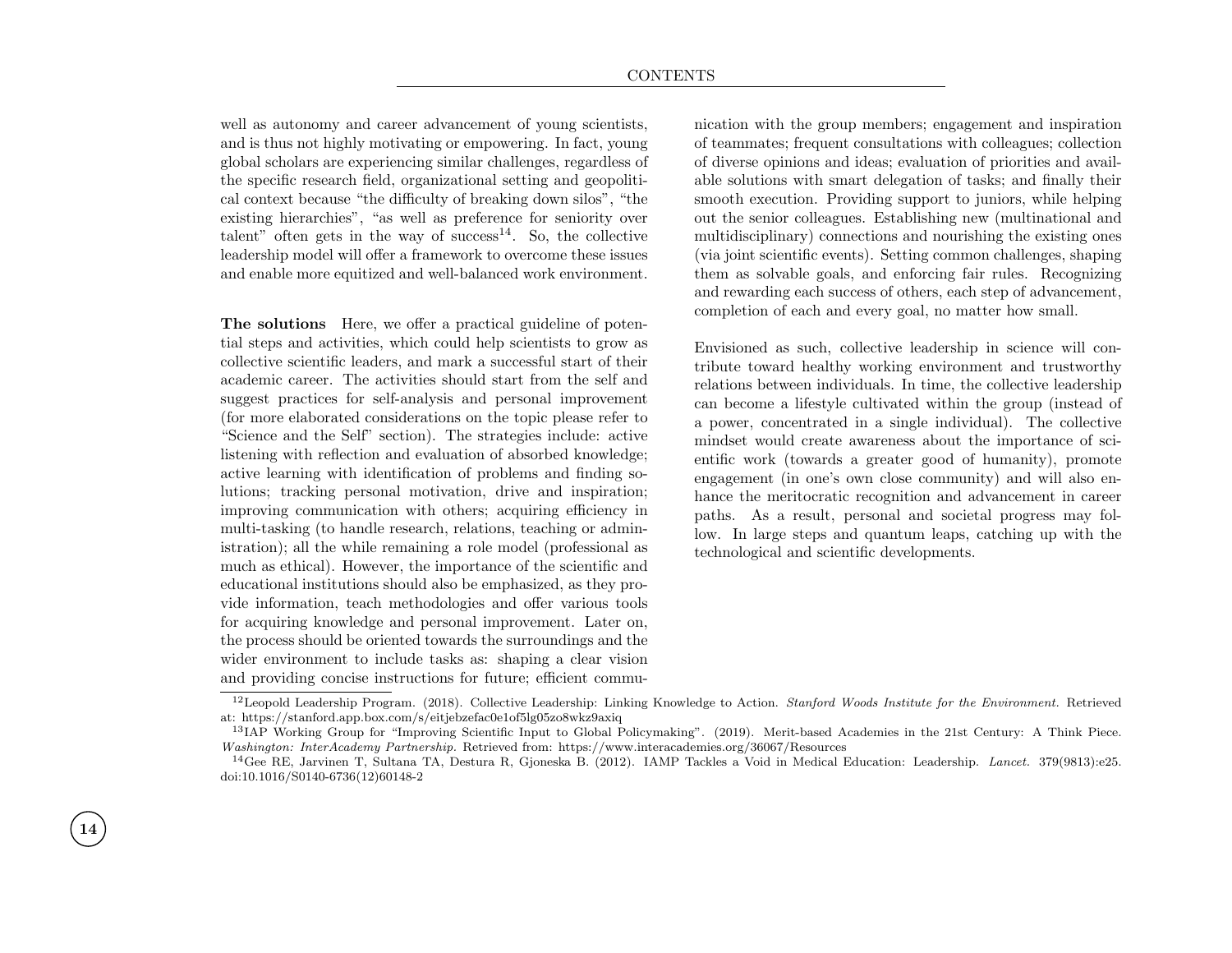well as autonomy and career advancement of young scientists, and is thus not highly motivating or empowering. In fact, young global scholars are experiencing similar challenges, regardless of the specific research field, organizational setting and geopolitical context because "the difficulty of breaking down silos", "the existing hierarchies", "as well as preference for seniority over talent" often gets in the way of  $success<sup>14</sup>$ . So, the collective leadership model will offer a framework to overcome these issues and enable more equitized and well-balanced work environment.

The solutions Here, we offer a practical guideline of potential steps and activities, which could help scientists to grow as collective scientific leaders, and mark a successful start of their academic career. The activities should start from the self and suggest practices for self-analysis and personal improvement (for more elaborated considerations on the topic please refer to "Science and the Self" section). The strategies include: active listening with reflection and evaluation of absorbed knowledge; active learning with identification of problems and finding solutions; tracking personal motivation, drive and inspiration; improving communication with others; acquiring efficiency in multi-tasking (to handle research, relations, teaching or administration); all the while remaining a role model (professional as much as ethical). However, the importance of the scientific and educational institutions should also be emphasized, as they provide information, teach methodologies and offer various tools for acquiring knowledge and personal improvement. Later on, the process should be oriented towards the surroundings and the wider environment to include tasks as: shaping a clear vision and providing concise instructions for future; efficient commu-

14

nication with the group members; engagement and inspiration of teammates; frequent consultations with colleagues; collection of diverse opinions and ideas; evaluation of priorities and available solutions with smart delegation of tasks; and finally their smooth execution. Providing support to juniors, while helping out the senior colleagues. Establishing new (multinational and multidisciplinary) connections and nourishing the existing ones (via joint scientific events). Setting common challenges, shaping them as solvable goals, and enforcing fair rules. Recognizing and rewarding each success of others, each step of advancement, completion of each and every goal, no matter how small.

Envisioned as such, collective leadership in science will contribute toward healthy working environment and trustworthy relations between individuals. In time, the collective leadership can become a lifestyle cultivated within the group (instead of a power, concentrated in a single individual). The collective mindset would create awareness about the importance of scientific work (towards a greater good of humanity), promote engagement (in one's own close community) and will also enhance the meritocratic recognition and advancement in career paths. As a result, personal and societal progress may follow. In large steps and quantum leaps, catching up with the technological and scientific developments.

 $12$ Leopold Leadership Program. (2018). Collective Leadership: Linking Knowledge to Action. Stanford Woods Institute for the Environment. Retrieved at: https://stanford.app.box.com/s/eitjebzefac0e1of5lg05zo8wkz9axiq

<sup>13</sup>IAP Working Group for "Improving Scientific Input to Global Policymaking". (2019). Merit-based Academies in the 21st Century: A Think Piece. Washington: InterAcademy Partnership. Retrieved from: https://www.interacademies.org/36067/Resources

<sup>&</sup>lt;sup>14</sup>Gee RE, Jarvinen T, Sultana TA, Destura R, Gjoneska B. (2012). IAMP Tackles a Void in Medical Education: Leadership. *Lancet.* 379(9813):e25. doi:10.1016/S0140-6736(12)60148-2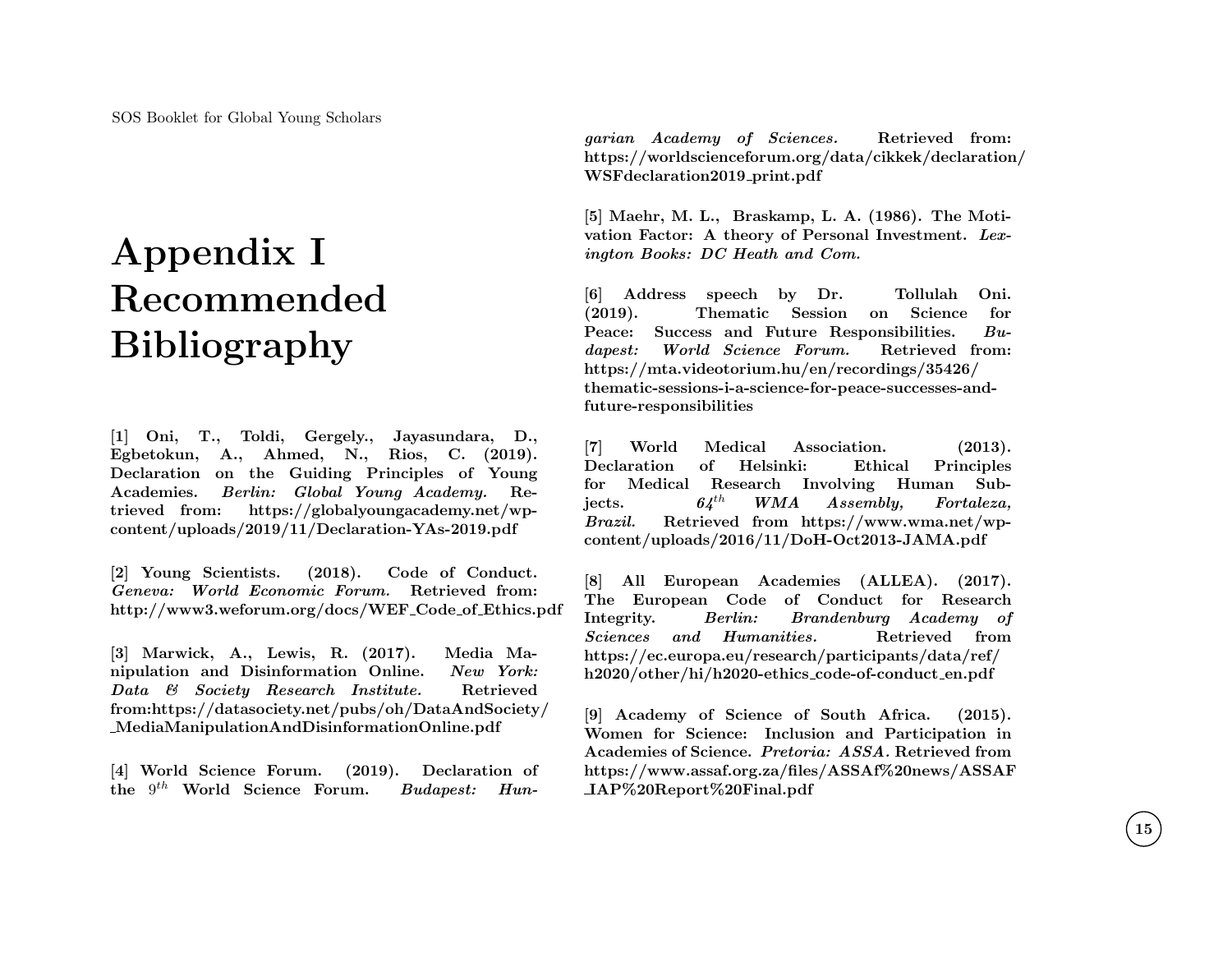# Appendix I Recommended Bibliography

[1] Oni, T., Toldi, Gergely., Jayasundara, D., Egbetokun, A., Ahmed, N., Rios, C. (2019). Declaration on the Guiding Principles of Young Academies. Berlin: Global Young Academy. Retrieved from: https://globalyoungacademy.net/wpcontent/uploads/2019/11/Declaration-YAs-2019.pdf

[2] Young Scientists. (2018). Code of Conduct. Geneva: World Economic Forum. Retrieved from: http://www3.weforum.org/docs/WEF Code of Ethics.pdf

[3] Marwick, A., Lewis, R. (2017). Media Manipulation and Disinformation Online. New York: Data & Society Research Institute. Retrieved from:https://datasociety.net/pubs/oh/DataAndSociety/ MediaManipulationAndDisinformationOnline.pdf

[4] World Science Forum. (2019). Declaration of the  $9^{th}$  World Science Forum. Budapest: Hungarian Academy of Sciences. Retrieved from: https://worldscienceforum.org/data/cikkek/declaration/ WSFdeclaration2019 print.pdf

[5] Maehr, M. L., Braskamp, L. A. (1986). The Motivation Factor: A theory of Personal Investment. Lexington Books: DC Heath and Com.

[6] Address speech by Dr. Tollulah Oni. (2019). Thematic Session on Science for Peace: Success and Future Responsibilities. Budapest: World Science Forum. Retrieved from: https://mta.videotorium.hu/en/recordings/35426/ thematic-sessions-i-a-science-for-peace-successes-andfuture-responsibilities

[7] World Medical Association. (2013). Declaration of Helsinki: Ethical Principles for Medical Research Involving Human Subjects.  $64^{th}$  WMA Assembly, Fortaleza, Brazil. Retrieved from https://www.wma.net/wpcontent/uploads/2016/11/DoH-Oct2013-JAMA.pdf

[8] All European Academies (ALLEA). (2017). The European Code of Conduct for Research Integrity. Berlin: Brandenburg Academy of Sciences and Humanities. Retrieved from https://ec.europa.eu/research/participants/data/ref/ h2020/other/hi/h2020-ethics\_code-of-conduct\_en.pdf

[9] Academy of Science of South Africa. (2015). Women for Science: Inclusion and Participation in Academies of Science. Pretoria: ASSA. Retrieved from https://www.assaf.org.za/files/ASSAf%20news/ASSAF IAP%20Report%20Final.pdf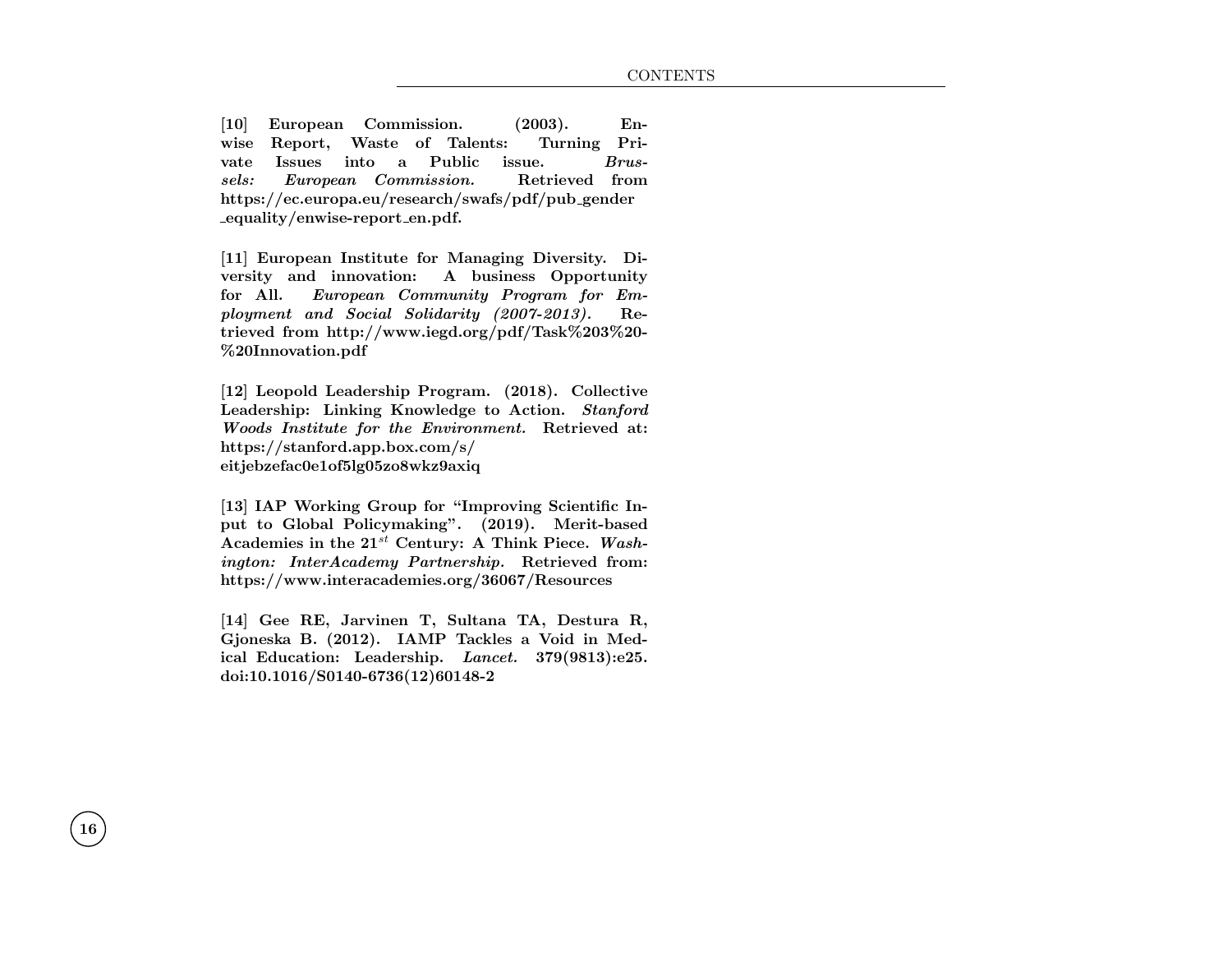[10] European Commission. (2003). Enwise Report, Waste of Talents: Turning Private Issues into a Public issue. Brussels: European Commission. Retrieved from https://ec.europa.eu/research/swafs/pdf/pub gender  $-equality/envise-report_en.pdf.$ 

[11] European Institute for Managing Diversity. Diversity and innovation: A business Opportunity for All. European Community Program for Employment and Social Solidarity (2007-2013). Retrieved from http://www.iegd.org/pdf/Task%203%20- %20Innovation.pdf

[12] Leopold Leadership Program. (2018). Collective Leadership: Linking Knowledge to Action. Stanford Woods Institute for the Environment. Retrieved at: https://stanford.app.box.com/s/ eitjebzefac0e1of5lg05zo8wkz9axiq

[13] IAP Working Group for "Improving Scientific Input to Global Policymaking". (2019). Merit-based Academies in the  $21^{st}$  Century: A Think Piece. Washington: InterAcademy Partnership. Retrieved from: https://www.interacademies.org/36067/Resources

[14] Gee RE, Jarvinen T, Sultana TA, Destura R, Gjoneska B. (2012). IAMP Tackles a Void in Medical Education: Leadership. Lancet. 379(9813):e25. doi:10.1016/S0140-6736(12)60148-2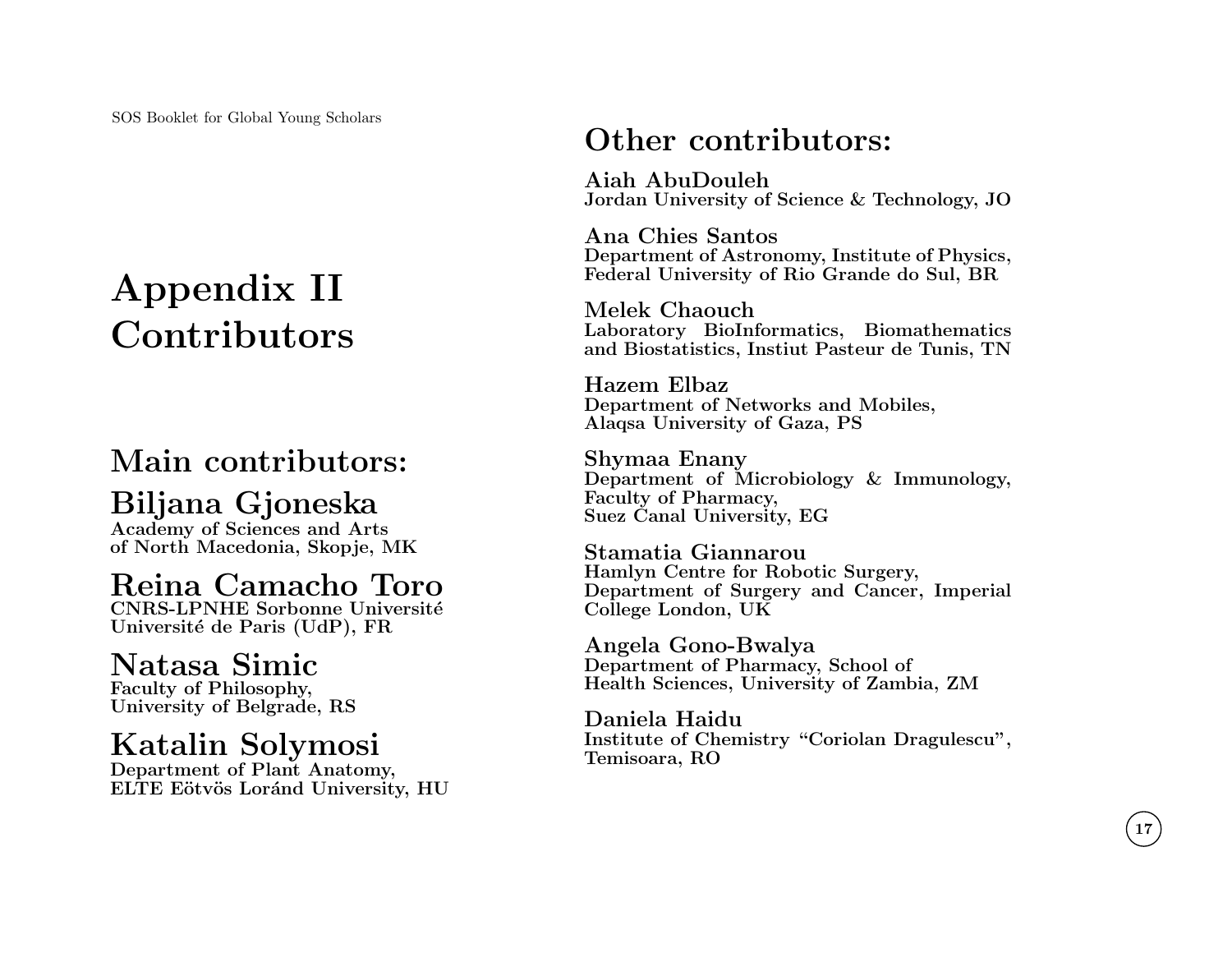# Appendix II Contributors

## Main contributors:

## Biljana Gjoneska

Academy of Sciences and Arts of North Macedonia, Skopje, MK

## Reina Camacho Toro

CNRS-LPNHE Sorbonne Université Université de Paris (UdP), FR

## Natasa Simic

Faculty of Philosophy, University of Belgrade, RS

## Katalin Solymosi

Department of Plant Anatomy, ELTE Eötvös Loránd University, HU

## Other contributors:

Aiah AbuDouleh Jordan University of Science & Technology, JO

Ana Chies Santos Department of Astronomy, Institute of Physics, Federal University of Rio Grande do Sul, BR

Melek Chaouch Laboratory BioInformatics, Biomathematics and Biostatistics, Instiut Pasteur de Tunis, TN

Hazem Elbaz Department of Networks and Mobiles, Alaqsa University of Gaza, PS

Shymaa Enany Department of Microbiology & Immunology, Faculty of Pharmacy, Suez Canal University, EG

Stamatia Giannarou Hamlyn Centre for Robotic Surgery, Department of Surgery and Cancer, Imperial College London, UK

Angela Gono-Bwalya Department of Pharmacy, School of Health Sciences, University of Zambia, ZM

Daniela Haidu Institute of Chemistry "Coriolan Dragulescu", Temisoara, RO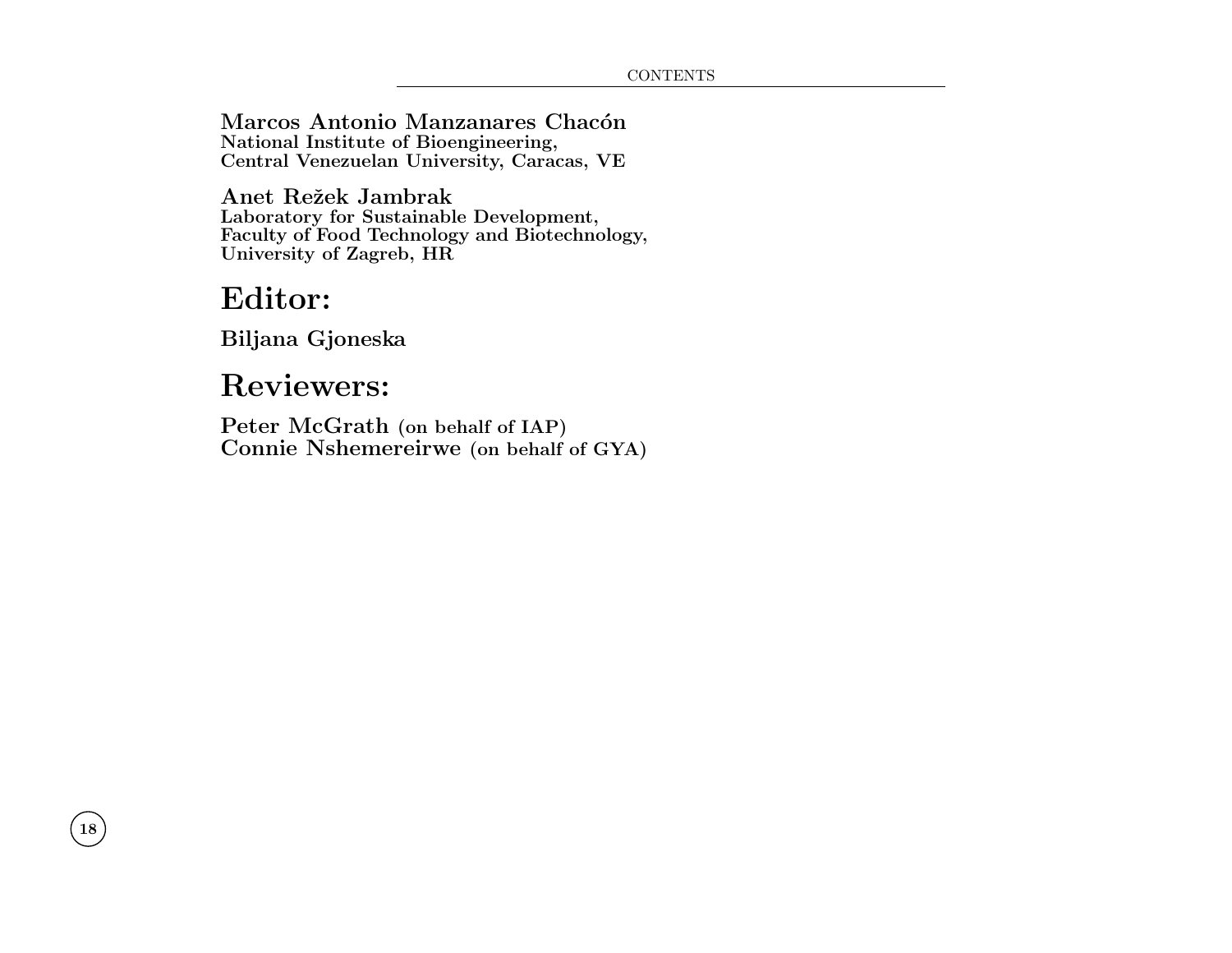Marcos Antonio Manzanares Chacón National Institute of Bioengineering, Central Venezuelan University, Caracas, VE

Anet Režek Jambrak Laboratory for Sustainable Development, Faculty of Food Technology and Biotechnology, University of Zagreb, HR

### Editor:

 $(18)$ 

Biljana Gjoneska

## Reviewers:

Peter McGrath (on behalf of IAP) Connie Nshemereirwe (on behalf of GYA)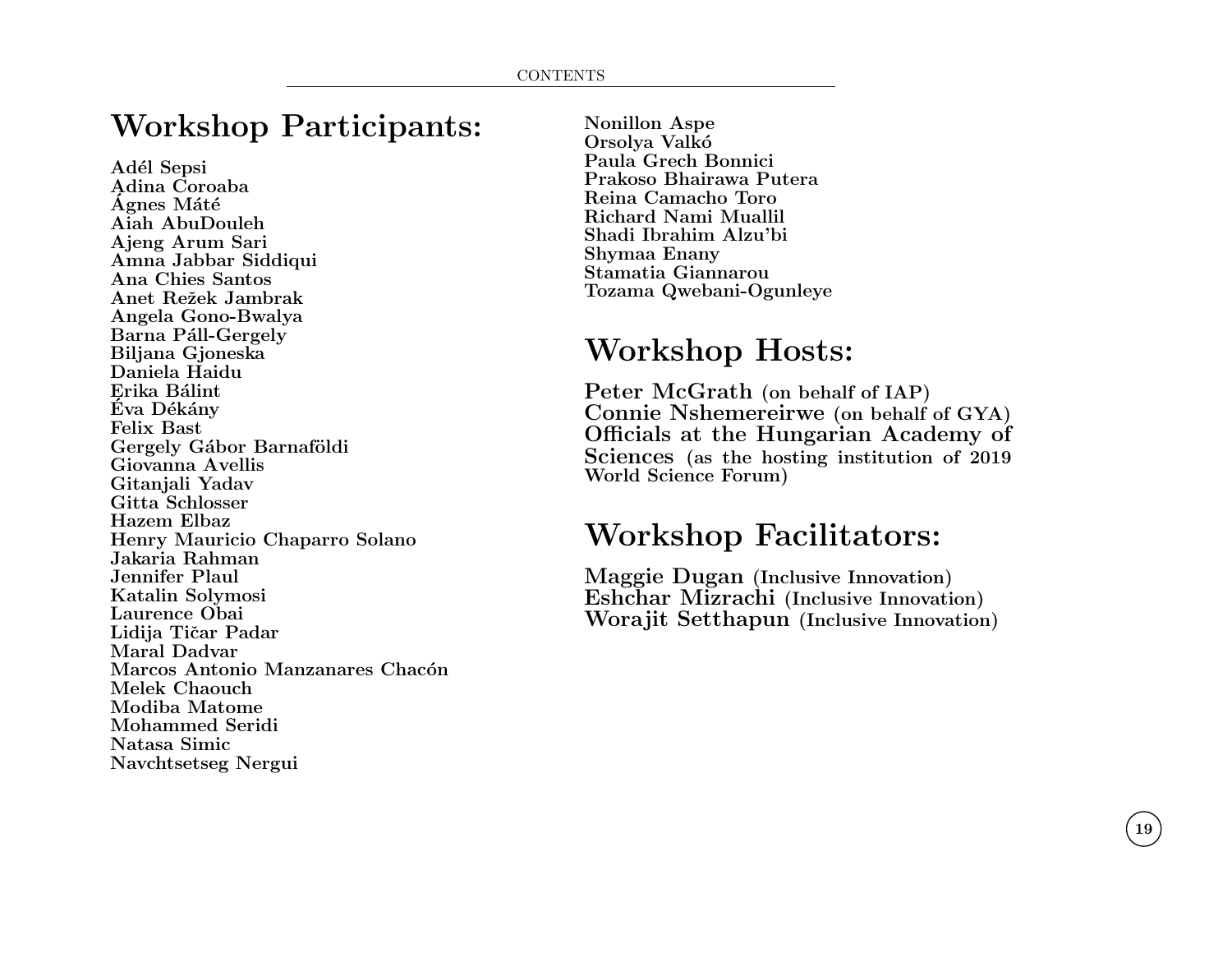### Workshop Participants:

Adél Sepsi Adina Coroaba Agnes Máté Aiah AbuDouleh Ajeng Arum Sari Amna Jabbar Siddiqui Ana Chies Santos Anet Režek Jambrak Angela Gono-Bwalya Barna Páll-Gergely Biljana Gjoneska Daniela Haidu Erika Bálint Éva Dékány Felix Bast Gergely Gábor Barnaföldi Giovanna Avellis Gitanjali Yadav Gitta Schlosser Hazem Elbaz Henry Mauricio Chaparro Solano Jakaria Rahman Jennifer Plaul Katalin Solymosi Laurence Obai Lidija Tičar Padar Maral Dadvar Marcos Antonio Manzanares Chacón Melek Chaouch Modiba Matome Mohammed Seridi Natasa Simic Navchtsetseg Nergui

Nonillon Aspe Orsolya Valkó Paula Grech Bonnici Prakoso Bhairawa Putera Reina Camacho Toro Richard Nami Muallil Shadi Ibrahim Alzu'bi Shymaa Enany Stamatia Giannarou Tozama Qwebani-Ogunleye

### Workshop Hosts:

Peter McGrath (on behalf of IAP) Connie Nshemereirwe (on behalf of GYA) Officials at the Hungarian Academy of Sciences (as the hosting institution of 2019 World Science Forum)

### Workshop Facilitators:

Maggie Dugan (Inclusive Innovation) Eshchar Mizrachi (Inclusive Innovation) Worajit Setthapun (Inclusive Innovation)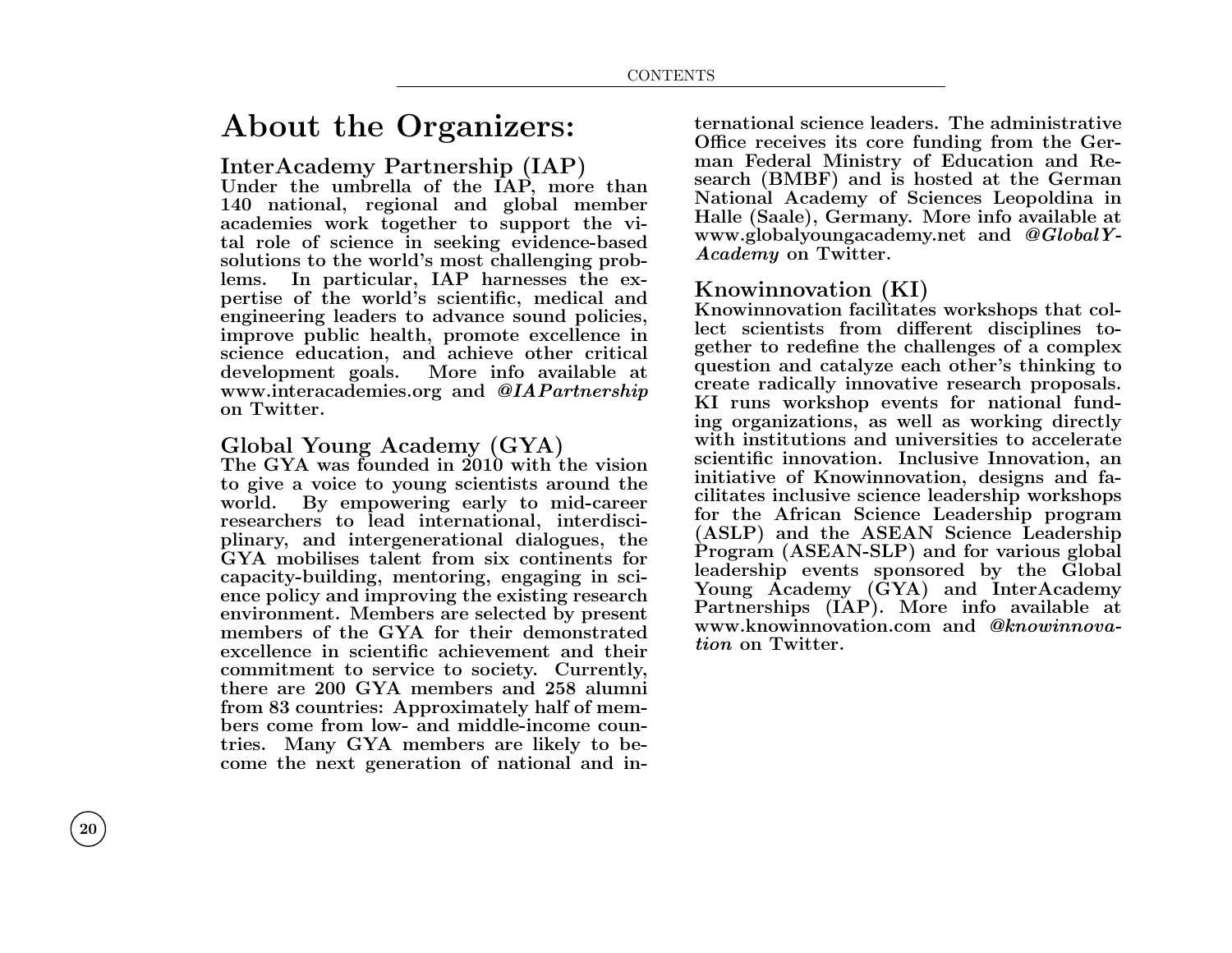### About the Organizers:

#### InterAcademy Partnership (IAP)

Under the umbrella of the IAP, more than 140 national, regional and global member academies work together to support the vital role of science in seeking evidence-based solutions to the world's most challenging problems. In particular, IAP harnesses the expertise of the world's scientific, medical and engineering leaders to advance sound policies, improve public health, promote excellence in science education, and achieve other critical development goals. More info available at www.interacademies.org and @IAPartnership on Twitter.

### Global Young Academy (GYA)

20

The GYA was founded in 2010 with the vision to give a voice to young scientists around the world. By empowering early to mid-career researchers to lead international, interdisciplinary, and intergenerational dialogues, the GYA mobilises talent from six continents for capacity-building, mentoring, engaging in science policy and improving the existing research environment. Members are selected by present members of the GYA for their demonstrated excellence in scientific achievement and their commitment to service to society. Currently, there are 200 GYA members and 258 alumni from 83 countries: Approximately half of members come from low- and middle-income countries. Many GYA members are likely to become the next generation of national and in-

ternational science leaders. The administrative Office receives its core funding from the German Federal Ministry of Education and Research (BMBF) and is hosted at the German National Academy of Sciences Leopoldina in Halle (Saale), Germany. More info available at www.globalyoungacademy.net and @GlobalY-Academy on Twitter.

### Knowinnovation (KI)

Knowinnovation facilitates workshops that collect scientists from different disciplines together to redefine the challenges of a complex question and catalyze each other's thinking to create radically innovative research proposals. KI runs workshop events for national funding organizations, as well as working directly with institutions and universities to accelerate scientific innovation. Inclusive Innovation, an initiative of Knowinnovation, designs and facilitates inclusive science leadership workshops for the African Science Leadership program (ASLP) and the ASEAN Science Leadership Program (ASEAN-SLP) and for various global leadership events sponsored by the Global Young Academy (GYA) and InterAcademy Partnerships (IAP). More info available at www.knowinnovation.com and @knowinnovation on Twitter.